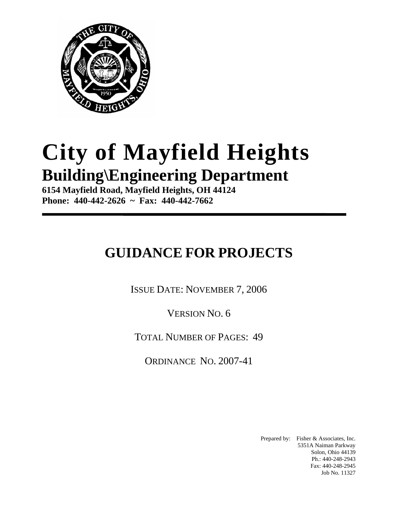

# **City of Mayfield Heights Building\Engineering Department**

**6154 Mayfield Road, Mayfield Heights, OH 44124 Phone: 440-442-2626 ~ Fax: 440-442-7662** 

## **GUIDANCE FOR PROJECTS**

ISSUE DATE: NOVEMBER 7, 2006

VERSION NO. 6

TOTAL NUMBER OF PAGES: 49

ORDINANCE NO. 2007-41

Prepared by: Fisher & Associates, Inc. 5351A Naiman Parkway Solon, Ohio 44139 Ph.: 440-248-2943 Fax: 440-248-2945 Job No. 11327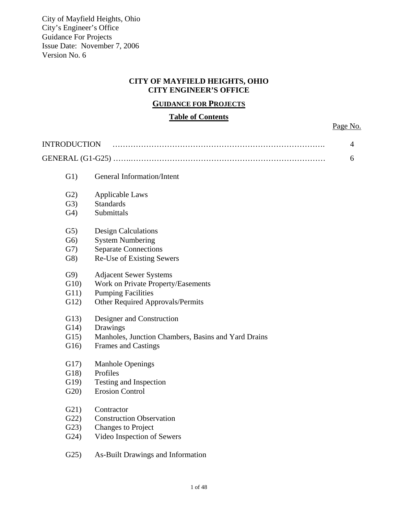#### **CITY OF MAYFIELD HEIGHTS, OHIO CITY ENGINEER'S OFFICE**

#### **GUIDANCE FOR PROJECTS**

#### **Table of Contents**

Page No.

| <b>INTRODUCTION</b> |                                                     | $\overline{4}$ |
|---------------------|-----------------------------------------------------|----------------|
|                     |                                                     | 6              |
| G1)                 | <b>General Information/Intent</b>                   |                |
| G2)                 | <b>Applicable Laws</b>                              |                |
| G3)                 | <b>Standards</b>                                    |                |
| G <sub>4</sub>      | Submittals                                          |                |
| G5)                 | <b>Design Calculations</b>                          |                |
| G <sub>6</sub>      | <b>System Numbering</b>                             |                |
| G7)                 | <b>Separate Connections</b>                         |                |
| G8)                 | Re-Use of Existing Sewers                           |                |
| G9)                 | <b>Adjacent Sewer Systems</b>                       |                |
| G10                 | Work on Private Property/Easements                  |                |
| G11)                | <b>Pumping Facilities</b>                           |                |
| G12)                | Other Required Approvals/Permits                    |                |
| G13)                | Designer and Construction                           |                |
| G14)                | Drawings                                            |                |
| G15)                | Manholes, Junction Chambers, Basins and Yard Drains |                |
| G16                 | <b>Frames and Castings</b>                          |                |
| G17)                | <b>Manhole Openings</b>                             |                |
| G18)                | Profiles                                            |                |
| G19                 | Testing and Inspection                              |                |
| G20                 | <b>Erosion Control</b>                              |                |
| G21)                | Contractor                                          |                |
| G22                 | <b>Construction Observation</b>                     |                |
| G23)                | <b>Changes to Project</b>                           |                |
| G24)                | Video Inspection of Sewers                          |                |
| G25                 | As-Built Drawings and Information                   |                |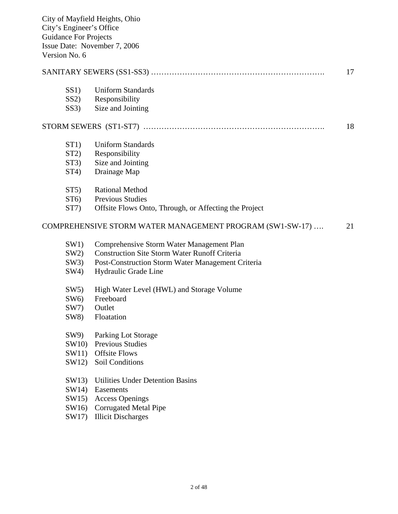| Version No. 6 | <b>Guidance For Projects</b> | City of Mayfield Heights, Ohio<br>City's Engineer's Office<br>Issue Date: November 7, 2006 |    |
|---------------|------------------------------|--------------------------------------------------------------------------------------------|----|
|               |                              |                                                                                            | 17 |
|               | SS1)                         | <b>Uniform Standards</b>                                                                   |    |
|               | SS2                          | Responsibility                                                                             |    |
|               | SS3)                         | Size and Jointing                                                                          |    |
|               |                              |                                                                                            | 18 |
|               | ST1)                         | <b>Uniform Standards</b>                                                                   |    |
|               | ST2)                         | Responsibility                                                                             |    |
|               | ST3)                         | Size and Jointing                                                                          |    |
|               | ST4)                         | Drainage Map                                                                               |    |
|               | ST5                          | <b>Rational Method</b>                                                                     |    |
|               | ST6                          | <b>Previous Studies</b>                                                                    |    |
|               | ST7                          | Offsite Flows Onto, Through, or Affecting the Project                                      |    |
|               |                              | COMPREHENSIVE STORM WATER MANAGEMENT PROGRAM (SW1-SW-17)                                   | 21 |
|               | SW1)                         | Comprehensive Storm Water Management Plan                                                  |    |
|               | SW2)                         | <b>Construction Site Storm Water Runoff Criteria</b>                                       |    |
|               | SW3)                         | Post-Construction Storm Water Management Criteria                                          |    |
|               | SW4)                         | Hydraulic Grade Line                                                                       |    |
|               | SW5                          | High Water Level (HWL) and Storage Volume                                                  |    |
|               | SW6                          | Freeboard                                                                                  |    |
|               | SW7)                         | Outlet                                                                                     |    |
|               | SW8)                         | Floatation                                                                                 |    |
|               | SW9)                         | Parking Lot Storage                                                                        |    |
|               | SW10)                        | <b>Previous Studies</b>                                                                    |    |
|               | SW11)                        | <b>Offsite Flows</b>                                                                       |    |
|               | SW12)                        | Soil Conditions                                                                            |    |
|               |                              |                                                                                            |    |

- SW13) Utilities Under Detention Basins
- SW14) Easements
- SW15) Access Openings
- SW16) Corrugated Metal Pipe
- SW17) Illicit Discharges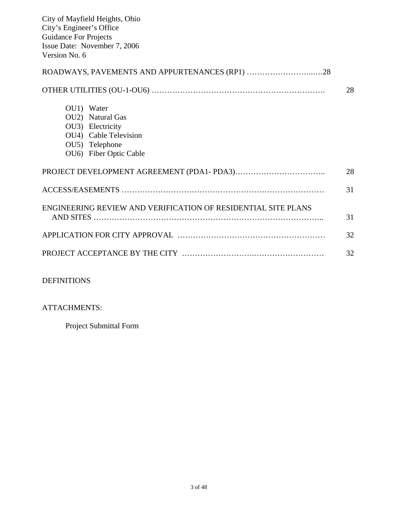| City of Mayfield Heights, Ohio<br>City's Engineer's Office<br><b>Guidance For Projects</b>                              |    |
|-------------------------------------------------------------------------------------------------------------------------|----|
| Issue Date: November 7, 2006<br>Version No. 6                                                                           |    |
|                                                                                                                         |    |
|                                                                                                                         | 28 |
| OU1) Water<br>OU2) Natural Gas<br>OU3) Electricity<br>OU4) Cable Television<br>OU5) Telephone<br>OU6) Fiber Optic Cable |    |
|                                                                                                                         | 28 |
|                                                                                                                         | 31 |
| ENGINEERING REVIEW AND VERIFICATION OF RESIDENTIAL SITE PLANS                                                           | 31 |
|                                                                                                                         | 32 |
|                                                                                                                         | 32 |

#### DEFINITIONS

#### ATTACHMENTS:

Project Submittal Form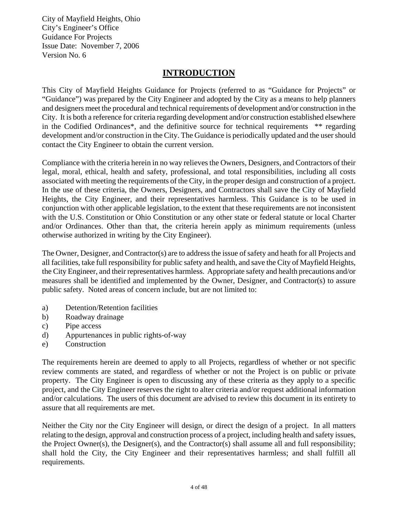## **INTRODUCTION**

This City of Mayfield Heights Guidance for Projects (referred to as "Guidance for Projects" or "Guidance") was prepared by the City Engineer and adopted by the City as a means to help planners and designers meet the procedural and technical requirements of development and/or construction in the City. It is both a reference for criteria regarding development and/or construction established elsewhere in the Codified Ordinances\*, and the definitive source for technical requirements \*\* regarding development and/or construction in the City. The Guidance is periodically updated and the user should contact the City Engineer to obtain the current version.

Compliance with the criteria herein in no way relieves the Owners, Designers, and Contractors of their legal, moral, ethical, health and safety, professional, and total responsibilities, including all costs associated with meeting the requirements of the City, in the proper design and construction of a project. In the use of these criteria, the Owners, Designers, and Contractors shall save the City of Mayfield Heights, the City Engineer, and their representatives harmless. This Guidance is to be used in conjunction with other applicable legislation, to the extent that these requirements are not inconsistent with the U.S. Constitution or Ohio Constitution or any other state or federal statute or local Charter and/or Ordinances. Other than that, the criteria herein apply as minimum requirements (unless otherwise authorized in writing by the City Engineer).

The Owner, Designer, and Contractor(s) are to address the issue of safety and heath for all Projects and all facilities, take full responsibility for public safety and health, and save the City of Mayfield Heights, the City Engineer, and their representatives harmless. Appropriate safety and health precautions and/or measures shall be identified and implemented by the Owner, Designer, and Contractor(s) to assure public safety. Noted areas of concern include, but are not limited to:

- a) Detention/Retention facilities
- b) Roadway drainage
- c) Pipe access
- d) Appurtenances in public rights-of-way
- e) Construction

The requirements herein are deemed to apply to all Projects, regardless of whether or not specific review comments are stated, and regardless of whether or not the Project is on public or private property. The City Engineer is open to discussing any of these criteria as they apply to a specific project, and the City Engineer reserves the right to alter criteria and/or request additional information and/or calculations. The users of this document are advised to review this document in its entirety to assure that all requirements are met.

Neither the City nor the City Engineer will design, or direct the design of a project. In all matters relating to the design, approval and construction process of a project, including health and safety issues, the Project Owner(s), the Designer(s), and the Contractor(s) shall assume all and full responsibility; shall hold the City, the City Engineer and their representatives harmless; and shall fulfill all requirements.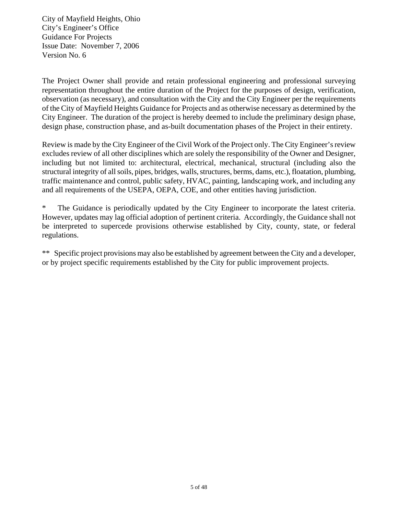The Project Owner shall provide and retain professional engineering and professional surveying representation throughout the entire duration of the Project for the purposes of design, verification, observation (as necessary), and consultation with the City and the City Engineer per the requirements of the City of Mayfield Heights Guidance for Projects and as otherwise necessary as determined by the City Engineer. The duration of the project is hereby deemed to include the preliminary design phase, design phase, construction phase, and as-built documentation phases of the Project in their entirety.

Review is made by the City Engineer of the Civil Work of the Project only. The City Engineer's review excludes review of all other disciplines which are solely the responsibility of the Owner and Designer, including but not limited to: architectural, electrical, mechanical, structural (including also the structural integrity of all soils, pipes, bridges, walls, structures, berms, dams, etc.), floatation, plumbing, traffic maintenance and control, public safety, HVAC, painting, landscaping work, and including any and all requirements of the USEPA, OEPA, COE, and other entities having jurisdiction.

\* The Guidance is periodically updated by the City Engineer to incorporate the latest criteria. However, updates may lag official adoption of pertinent criteria. Accordingly, the Guidance shall not be interpreted to supercede provisions otherwise established by City, county, state, or federal regulations.

\*\* Specific project provisions may also be established by agreement between the City and a developer, or by project specific requirements established by the City for public improvement projects.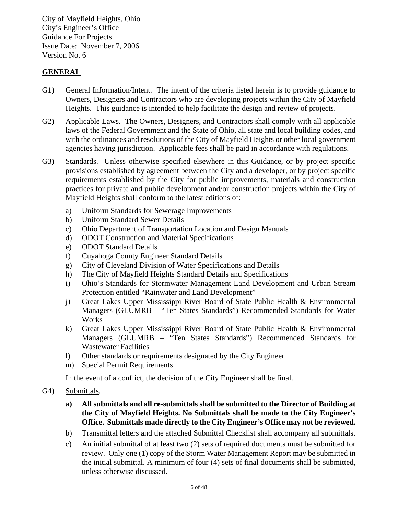#### **GENERAL**

- G1) General Information/Intent. The intent of the criteria listed herein is to provide guidance to Owners, Designers and Contractors who are developing projects within the City of Mayfield Heights. This guidance is intended to help facilitate the design and review of projects.
- G2) Applicable Laws. The Owners, Designers, and Contractors shall comply with all applicable laws of the Federal Government and the State of Ohio, all state and local building codes, and with the ordinances and resolutions of the City of Mayfield Heights or other local government agencies having jurisdiction. Applicable fees shall be paid in accordance with regulations.
- G3) Standards. Unless otherwise specified elsewhere in this Guidance, or by project specific provisions established by agreement between the City and a developer, or by project specific requirements established by the City for public improvements, materials and construction practices for private and public development and/or construction projects within the City of Mayfield Heights shall conform to the latest editions of:
	- a) Uniform Standards for Sewerage Improvements
	- b) Uniform Standard Sewer Details
	- c) Ohio Department of Transportation Location and Design Manuals
	- d) ODOT Construction and Material Specifications
	- e) ODOT Standard Details
	- f) Cuyahoga County Engineer Standard Details
	- g) City of Cleveland Division of Water Specifications and Details
	- h) The City of Mayfield Heights Standard Details and Specifications
	- i) Ohio's Standards for Stormwater Management Land Development and Urban Stream Protection entitled "Rainwater and Land Development"
	- j) Great Lakes Upper Mississippi River Board of State Public Health & Environmental Managers (GLUMRB – "Ten States Standards") Recommended Standards for Water Works
	- k) Great Lakes Upper Mississippi River Board of State Public Health & Environmental Managers (GLUMRB – "Ten States Standards") Recommended Standards for Wastewater Facilities
	- l) Other standards or requirements designated by the City Engineer
	- m) Special Permit Requirements

In the event of a conflict, the decision of the City Engineer shall be final.

- G4) Submittals.
	- **a) All submittals and all re-submittals shall be submitted to the Director of Building at the City of Mayfield Heights. No Submittals shall be made to the City Engineer's Office. Submittals made directly to the City Engineer's Office may not be reviewed.**
	- b) Transmittal letters and the attached Submittal Checklist shall accompany all submittals.
	- c) An initial submittal of at least two (2) sets of required documents must be submitted for review. Only one (1) copy of the Storm Water Management Report may be submitted in the initial submittal. A minimum of four (4) sets of final documents shall be submitted, unless otherwise discussed.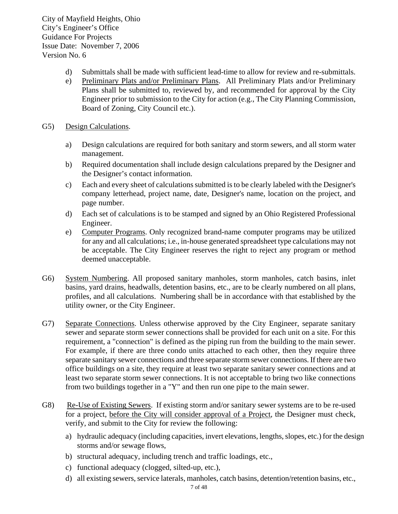- d) Submittals shall be made with sufficient lead-time to allow for review and re-submittals.
- e) Preliminary Plats and/or Preliminary Plans. All Preliminary Plats and/or Preliminary Plans shall be submitted to, reviewed by, and recommended for approval by the City Engineer prior to submission to the City for action (e.g., The City Planning Commission, Board of Zoning, City Council etc.).

#### G5) Design Calculations.

- a) Design calculations are required for both sanitary and storm sewers, and all storm water management.
- b) Required documentation shall include design calculations prepared by the Designer and the Designer's contact information.
- c) Each and every sheet of calculations submitted is to be clearly labeled with the Designer's company letterhead, project name, date, Designer's name, location on the project, and page number.
- d) Each set of calculations is to be stamped and signed by an Ohio Registered Professional Engineer.
- e) Computer Programs. Only recognized brand-name computer programs may be utilized for any and all calculations; i.e., in-house generated spreadsheet type calculations may not be acceptable. The City Engineer reserves the right to reject any program or method deemed unacceptable.
- G6) System Numbering. All proposed sanitary manholes, storm manholes, catch basins, inlet basins, yard drains, headwalls, detention basins, etc., are to be clearly numbered on all plans, profiles, and all calculations. Numbering shall be in accordance with that established by the utility owner, or the City Engineer.
- G7) Separate Connections. Unless otherwise approved by the City Engineer, separate sanitary sewer and separate storm sewer connections shall be provided for each unit on a site. For this requirement, a "connection" is defined as the piping run from the building to the main sewer. For example, if there are three condo units attached to each other, then they require three separate sanitary sewer connections and three separate storm sewer connections. If there are two office buildings on a site, they require at least two separate sanitary sewer connections and at least two separate storm sewer connections. It is not acceptable to bring two like connections from two buildings together in a "Y" and then run one pipe to the main sewer.
- G8) Re-Use of Existing Sewers. If existing storm and/or sanitary sewer systems are to be re-used for a project, before the City will consider approval of a Project, the Designer must check, verify, and submit to the City for review the following:
	- a) hydraulic adequacy (including capacities, invert elevations, lengths, slopes, etc.) for the design storms and/or sewage flows,
	- b) structural adequacy, including trench and traffic loadings, etc.,
	- c) functional adequacy (clogged, silted-up, etc.),
	- d) all existing sewers, service laterals, manholes, catch basins, detention/retention basins, etc.,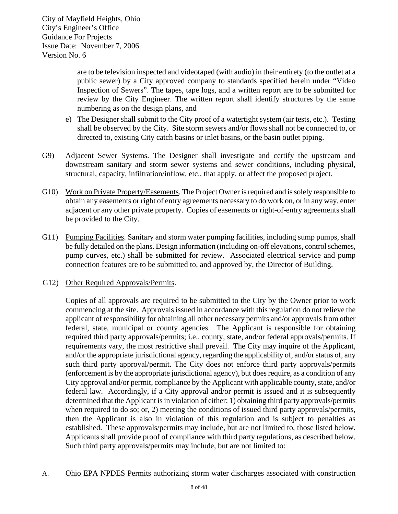> are to be television inspected and videotaped (with audio) in their entirety (to the outlet at a public sewer) by a City approved company to standards specified herein under "Video Inspection of Sewers". The tapes, tape logs, and a written report are to be submitted for review by the City Engineer. The written report shall identify structures by the same numbering as on the design plans, and

- e) The Designer shall submit to the City proof of a watertight system (air tests, etc.). Testing shall be observed by the City. Site storm sewers and/or flows shall not be connected to, or directed to, existing City catch basins or inlet basins, or the basin outlet piping.
- G9) Adjacent Sewer Systems. The Designer shall investigate and certify the upstream and downstream sanitary and storm sewer systems and sewer conditions, including physical, structural, capacity, infiltration/inflow, etc., that apply, or affect the proposed project.
- G10) Work on Private Property/Easements. The Project Owner is required and is solely responsible to obtain any easements or right of entry agreements necessary to do work on, or in any way, enter adjacent or any other private property. Copies of easements or right-of-entry agreements shall be provided to the City.
- G11) Pumping Facilities. Sanitary and storm water pumping facilities, including sump pumps, shall be fully detailed on the plans. Design information (including on-off elevations, control schemes, pump curves, etc.) shall be submitted for review. Associated electrical service and pump connection features are to be submitted to, and approved by, the Director of Building.
- G12) Other Required Approvals/Permits.

Copies of all approvals are required to be submitted to the City by the Owner prior to work commencing at the site. Approvals issued in accordance with this regulation do not relieve the applicant of responsibility for obtaining all other necessary permits and/or approvals from other federal, state, municipal or county agencies. The Applicant is responsible for obtaining required third party approvals/permits; i.e., county, state, and/or federal approvals/permits. If requirements vary, the most restrictive shall prevail. The City may inquire of the Applicant, and/or the appropriate jurisdictional agency, regarding the applicability of, and/or status of, any such third party approval/permit. The City does not enforce third party approvals/permits (enforcement is by the appropriate jurisdictional agency), but does require, as a condition of any City approval and/or permit, compliance by the Applicant with applicable county, state, and/or federal law. Accordingly, if a City approval and/or permit is issued and it is subsequently determined that the Applicant is in violation of either: 1) obtaining third party approvals/permits when required to do so; or, 2) meeting the conditions of issued third party approvals/permits, then the Applicant is also in violation of this regulation and is subject to penalties as established. These approvals/permits may include, but are not limited to, those listed below. Applicants shall provide proof of compliance with third party regulations, as described below. Such third party approvals/permits may include, but are not limited to:

A. Ohio EPA NPDES Permits authorizing storm water discharges associated with construction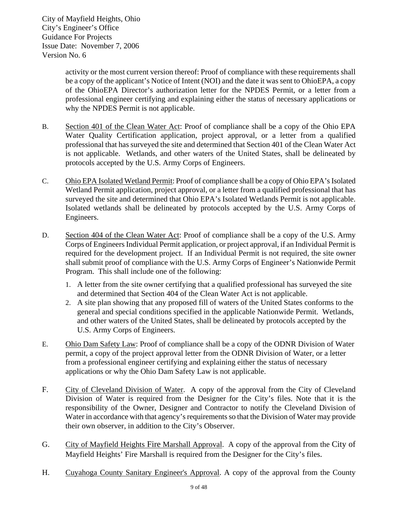> activity or the most current version thereof: Proof of compliance with these requirements shall be a copy of the applicant's Notice of Intent (NOI) and the date it was sent to OhioEPA, a copy of the OhioEPA Director's authorization letter for the NPDES Permit, or a letter from a professional engineer certifying and explaining either the status of necessary applications or why the NPDES Permit is not applicable.

- B. Section 401 of the Clean Water Act: Proof of compliance shall be a copy of the Ohio EPA Water Quality Certification application, project approval, or a letter from a qualified professional that has surveyed the site and determined that Section 401 of the Clean Water Act is not applicable. Wetlands, and other waters of the United States, shall be delineated by protocols accepted by the U.S. Army Corps of Engineers.
- C. Ohio EPA Isolated Wetland Permit: Proof of compliance shall be a copy of Ohio EPA's Isolated Wetland Permit application, project approval, or a letter from a qualified professional that has surveyed the site and determined that Ohio EPA's Isolated Wetlands Permit is not applicable. Isolated wetlands shall be delineated by protocols accepted by the U.S. Army Corps of Engineers.
- D. Section 404 of the Clean Water Act: Proof of compliance shall be a copy of the U.S. Army Corps of Engineers Individual Permit application, or project approval, if an Individual Permit is required for the development project. If an Individual Permit is not required, the site owner shall submit proof of compliance with the U.S. Army Corps of Engineer's Nationwide Permit Program. This shall include one of the following:
	- 1. A letter from the site owner certifying that a qualified professional has surveyed the site and determined that Section 404 of the Clean Water Act is not applicable.
	- 2. A site plan showing that any proposed fill of waters of the United States conforms to the general and special conditions specified in the applicable Nationwide Permit. Wetlands, and other waters of the United States, shall be delineated by protocols accepted by the U.S. Army Corps of Engineers.
- E. Ohio Dam Safety Law: Proof of compliance shall be a copy of the ODNR Division of Water permit, a copy of the project approval letter from the ODNR Division of Water, or a letter from a professional engineer certifying and explaining either the status of necessary applications or why the Ohio Dam Safety Law is not applicable.
- F. City of Cleveland Division of Water. A copy of the approval from the City of Cleveland Division of Water is required from the Designer for the City's files. Note that it is the responsibility of the Owner, Designer and Contractor to notify the Cleveland Division of Water in accordance with that agency's requirements so that the Division of Water may provide their own observer, in addition to the City's Observer.
- G. City of Mayfield Heights Fire Marshall Approval. A copy of the approval from the City of Mayfield Heights' Fire Marshall is required from the Designer for the City's files.
- H. Cuyahoga County Sanitary Engineer's Approval. A copy of the approval from the County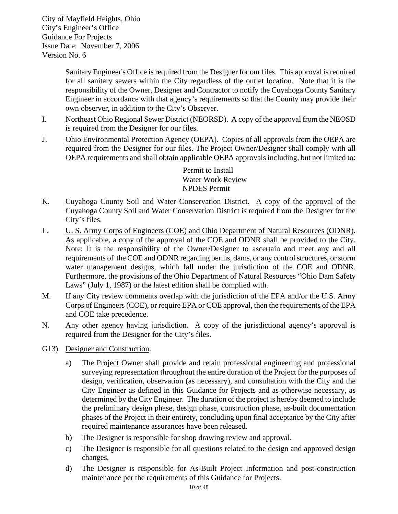> Sanitary Engineer's Office is required from the Designer for our files. This approval is required for all sanitary sewers within the City regardless of the outlet location. Note that it is the responsibility of the Owner, Designer and Contractor to notify the Cuyahoga County Sanitary Engineer in accordance with that agency's requirements so that the County may provide their own observer, in addition to the City's Observer.

- I. Northeast Ohio Regional Sewer District (NEORSD). A copy of the approval from the NEOSD is required from the Designer for our files.
- J. Ohio Environmental Protection Agency (OEPA). Copies of all approvals from the OEPA are required from the Designer for our files. The Project Owner/Designer shall comply with all OEPA requirements and shall obtain applicable OEPA approvals including, but not limited to:

Permit to Install Water Work Review NPDES Permit

- K. Cuyahoga County Soil and Water Conservation District. A copy of the approval of the Cuyahoga County Soil and Water Conservation District is required from the Designer for the City's files.
- L. U. S. Army Corps of Engineers (COE) and Ohio Department of Natural Resources (ODNR). As applicable, a copy of the approval of the COE and ODNR shall be provided to the City. Note: It is the responsibility of the Owner/Designer to ascertain and meet any and all requirements of the COE and ODNR regarding berms, dams, or any control structures, or storm water management designs, which fall under the jurisdiction of the COE and ODNR. Furthermore, the provisions of the Ohio Department of Natural Resources "Ohio Dam Safety Laws" (July 1, 1987) or the latest edition shall be complied with.
- M. If any City review comments overlap with the jurisdiction of the EPA and/or the U.S. Army Corps of Engineers (COE), or require EPA or COE approval, then the requirements of the EPA and COE take precedence.
- N. Any other agency having jurisdiction. A copy of the jurisdictional agency's approval is required from the Designer for the City's files.
- G13) Designer and Construction.
	- a) The Project Owner shall provide and retain professional engineering and professional surveying representation throughout the entire duration of the Project for the purposes of design, verification, observation (as necessary), and consultation with the City and the City Engineer as defined in this Guidance for Projects and as otherwise necessary, as determined by the City Engineer. The duration of the project is hereby deemed to include the preliminary design phase, design phase, construction phase, as-built documentation phases of the Project in their entirety, concluding upon final acceptance by the City after required maintenance assurances have been released.
	- b) The Designer is responsible for shop drawing review and approval.
	- c) The Designer is responsible for all questions related to the design and approved design changes,
	- d) The Designer is responsible for As-Built Project Information and post-construction maintenance per the requirements of this Guidance for Projects.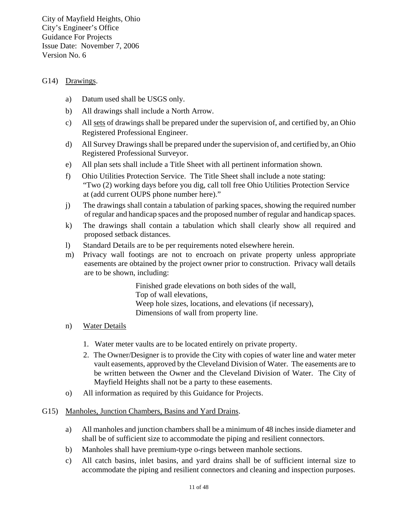#### G14) Drawings.

- a) Datum used shall be USGS only.
- b) All drawings shall include a North Arrow.
- c) All sets of drawings shall be prepared under the supervision of, and certified by, an Ohio Registered Professional Engineer.
- d) All Survey Drawings shall be prepared under the supervision of, and certified by, an Ohio Registered Professional Surveyor.
- e) All plan sets shall include a Title Sheet with all pertinent information shown.
- f) Ohio Utilities Protection Service. The Title Sheet shall include a note stating: "Two (2) working days before you dig, call toll free Ohio Utilities Protection Service at (add current OUPS phone number here)."
- j) The drawings shall contain a tabulation of parking spaces, showing the required number of regular and handicap spaces and the proposed number of regular and handicap spaces.
- k) The drawings shall contain a tabulation which shall clearly show all required and proposed setback distances.
- l) Standard Details are to be per requirements noted elsewhere herein.
- m) Privacy wall footings are not to encroach on private property unless appropriate easements are obtained by the project owner prior to construction. Privacy wall details are to be shown, including:

 Finished grade elevations on both sides of the wall, Top of wall elevations, Weep hole sizes, locations, and elevations (if necessary), Dimensions of wall from property line.

- n) Water Details
	- 1. Water meter vaults are to be located entirely on private property.
	- 2. The Owner/Designer is to provide the City with copies of water line and water meter vault easements, approved by the Cleveland Division of Water. The easements are to be written between the Owner and the Cleveland Division of Water. The City of Mayfield Heights shall not be a party to these easements.
- o) All information as required by this Guidance for Projects.

#### G15) Manholes, Junction Chambers, Basins and Yard Drains.

- a) All manholes and junction chambers shall be a minimum of 48 inches inside diameter and shall be of sufficient size to accommodate the piping and resilient connectors.
- b) Manholes shall have premium-type o-rings between manhole sections.
- c) All catch basins, inlet basins, and yard drains shall be of sufficient internal size to accommodate the piping and resilient connectors and cleaning and inspection purposes.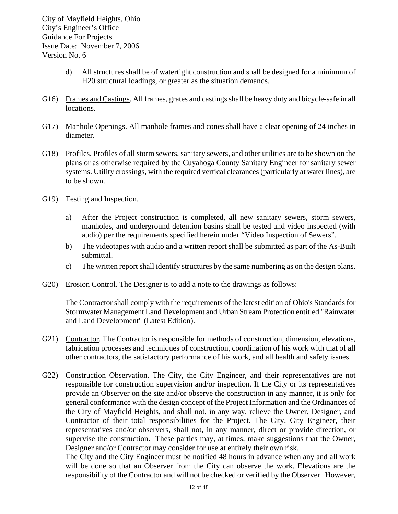- d) All structures shall be of watertight construction and shall be designed for a minimum of H20 structural loadings, or greater as the situation demands.
- G16) Frames and Castings. All frames, grates and castings shall be heavy duty and bicycle-safe in all locations.
- G17) Manhole Openings. All manhole frames and cones shall have a clear opening of 24 inches in diameter.
- G18) Profiles. Profiles of all storm sewers, sanitary sewers, and other utilities are to be shown on the plans or as otherwise required by the Cuyahoga County Sanitary Engineer for sanitary sewer systems. Utility crossings, with the required vertical clearances (particularly at water lines), are to be shown.
- G19) Testing and Inspection.
	- a) After the Project construction is completed, all new sanitary sewers, storm sewers, manholes, and underground detention basins shall be tested and video inspected (with audio) per the requirements specified herein under "Video Inspection of Sewers".
	- b) The videotapes with audio and a written report shall be submitted as part of the As-Built submittal.
	- c) The written report shall identify structures by the same numbering as on the design plans.
- G20) Erosion Control. The Designer is to add a note to the drawings as follows:

The Contractor shall comply with the requirements of the latest edition of Ohio's Standards for Stormwater Management Land Development and Urban Stream Protection entitled "Rainwater and Land Development" (Latest Edition).

- G21) Contractor. The Contractor is responsible for methods of construction, dimension, elevations, fabrication processes and techniques of construction, coordination of his work with that of all other contractors, the satisfactory performance of his work, and all health and safety issues.
- G22) Construction Observation. The City, the City Engineer, and their representatives are not responsible for construction supervision and/or inspection. If the City or its representatives provide an Observer on the site and/or observe the construction in any manner, it is only for general conformance with the design concept of the Project Information and the Ordinances of the City of Mayfield Heights, and shall not, in any way, relieve the Owner, Designer, and Contractor of their total responsibilities for the Project. The City, City Engineer, their representatives and/or observers, shall not, in any manner, direct or provide direction, or supervise the construction. These parties may, at times, make suggestions that the Owner, Designer and/or Contractor may consider for use at entirely their own risk.

The City and the City Engineer must be notified 48 hours in advance when any and all work will be done so that an Observer from the City can observe the work. Elevations are the responsibility of the Contractor and will not be checked or verified by the Observer. However,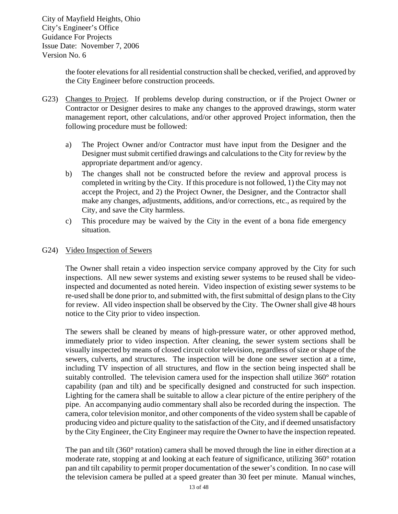> the footer elevations for all residential construction shall be checked, verified, and approved by the City Engineer before construction proceeds.

- G23) Changes to Project. If problems develop during construction, or if the Project Owner or Contractor or Designer desires to make any changes to the approved drawings, storm water management report, other calculations, and/or other approved Project information, then the following procedure must be followed:
	- a) The Project Owner and/or Contractor must have input from the Designer and the Designer must submit certified drawings and calculations to the City for review by the appropriate department and/or agency.
	- b) The changes shall not be constructed before the review and approval process is completed in writing by the City. If this procedure is not followed, 1) the City may not accept the Project, and 2) the Project Owner, the Designer, and the Contractor shall make any changes, adjustments, additions, and/or corrections, etc., as required by the City, and save the City harmless.
	- c) This procedure may be waived by the City in the event of a bona fide emergency situation.

#### G24) Video Inspection of Sewers

The Owner shall retain a video inspection service company approved by the City for such inspections. All new sewer systems and existing sewer systems to be reused shall be videoinspected and documented as noted herein. Video inspection of existing sewer systems to be re-used shall be done prior to, and submitted with, the first submittal of design plans to the City for review. All video inspection shall be observed by the City. The Owner shall give 48 hours notice to the City prior to video inspection.

The sewers shall be cleaned by means of high-pressure water, or other approved method, immediately prior to video inspection. After cleaning, the sewer system sections shall be visually inspected by means of closed circuit color television, regardless of size or shape of the sewers, culverts, and structures. The inspection will be done one sewer section at a time, including TV inspection of all structures, and flow in the section being inspected shall be suitably controlled. The television camera used for the inspection shall utilize 360° rotation capability (pan and tilt) and be specifically designed and constructed for such inspection. Lighting for the camera shall be suitable to allow a clear picture of the entire periphery of the pipe. An accompanying audio commentary shall also be recorded during the inspection. The camera, color television monitor, and other components of the video system shall be capable of producing video and picture quality to the satisfaction of the City, and if deemed unsatisfactory by the City Engineer, the City Engineer may require the Owner to have the inspection repeated.

The pan and tilt (360° rotation) camera shall be moved through the line in either direction at a moderate rate, stopping at and looking at each feature of significance, utilizing 360° rotation pan and tilt capability to permit proper documentation of the sewer's condition. In no case will the television camera be pulled at a speed greater than 30 feet per minute. Manual winches,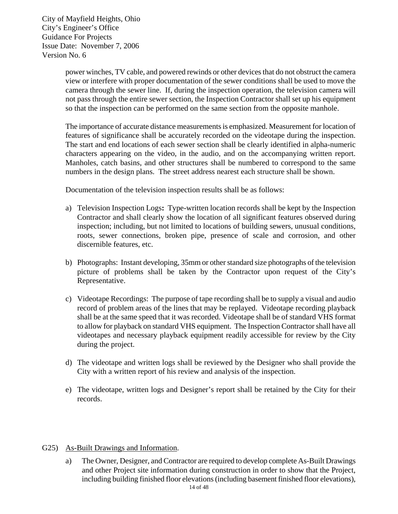> power winches, TV cable, and powered rewinds or other devices that do not obstruct the camera view or interfere with proper documentation of the sewer conditions shall be used to move the camera through the sewer line. If, during the inspection operation, the television camera will not pass through the entire sewer section, the Inspection Contractor shall set up his equipment so that the inspection can be performed on the same section from the opposite manhole.

> The importance of accurate distance measurements is emphasized. Measurement for location of features of significance shall be accurately recorded on the videotape during the inspection. The start and end locations of each sewer section shall be clearly identified in alpha-numeric characters appearing on the video, in the audio, and on the accompanying written report. Manholes, catch basins, and other structures shall be numbered to correspond to the same numbers in the design plans. The street address nearest each structure shall be shown.

Documentation of the television inspection results shall be as follows:

- a) Television Inspection Logs**:** Type-written location records shall be kept by the Inspection Contractor and shall clearly show the location of all significant features observed during inspection; including, but not limited to locations of building sewers, unusual conditions, roots, sewer connections, broken pipe, presence of scale and corrosion, and other discernible features, etc.
- b) Photographs: Instant developing, 35mm or other standard size photographs of the television picture of problems shall be taken by the Contractor upon request of the City's Representative.
- c) Videotape Recordings: The purpose of tape recording shall be to supply a visual and audio record of problem areas of the lines that may be replayed. Videotape recording playback shall be at the same speed that it was recorded. Videotape shall be of standard VHS format to allow for playback on standard VHS equipment. The Inspection Contractor shall have all videotapes and necessary playback equipment readily accessible for review by the City during the project.
- d) The videotape and written logs shall be reviewed by the Designer who shall provide the City with a written report of his review and analysis of the inspection.
- e) The videotape, written logs and Designer's report shall be retained by the City for their records.
- G25) As-Built Drawings and Information.
	- a) The Owner, Designer, and Contractor are required to develop complete As-Built Drawings and other Project site information during construction in order to show that the Project, including building finished floor elevations (including basement finished floor elevations),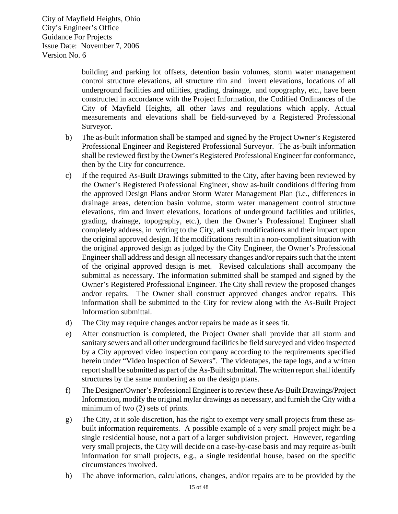> building and parking lot offsets, detention basin volumes, storm water management control structure elevations, all structure rim and invert elevations, locations of all underground facilities and utilities, grading, drainage, and topography, etc., have been constructed in accordance with the Project Information, the Codified Ordinances of the City of Mayfield Heights, all other laws and regulations which apply. Actual measurements and elevations shall be field-surveyed by a Registered Professional Surveyor.

- b) The as-built information shall be stamped and signed by the Project Owner's Registered Professional Engineer and Registered Professional Surveyor. The as-built information shall be reviewed first by the Owner's Registered Professional Engineer for conformance, then by the City for concurrence.
- c) If the required As-Built Drawings submitted to the City, after having been reviewed by the Owner's Registered Professional Engineer, show as-built conditions differing from the approved Design Plans and/or Storm Water Management Plan (i.e., differences in drainage areas, detention basin volume, storm water management control structure elevations, rim and invert elevations, locations of underground facilities and utilities, grading, drainage, topography, etc.), then the Owner's Professional Engineer shall completely address, in writing to the City, all such modifications and their impact upon the original approved design. If the modifications result in a non-compliant situation with the original approved design as judged by the City Engineer, the Owner's Professional Engineer shall address and design all necessary changes and/or repairs such that the intent of the original approved design is met. Revised calculations shall accompany the submittal as necessary. The information submitted shall be stamped and signed by the Owner's Registered Professional Engineer. The City shall review the proposed changes and/or repairs. The Owner shall construct approved changes and/or repairs. This information shall be submitted to the City for review along with the As-Built Project Information submittal.
- d) The City may require changes and/or repairs be made as it sees fit.
- e) After construction is completed, the Project Owner shall provide that all storm and sanitary sewers and all other underground facilities be field surveyed and video inspected by a City approved video inspection company according to the requirements specified herein under "Video Inspection of Sewers". The videotapes, the tape logs, and a written report shall be submitted as part of the As-Built submittal. The written report shall identify structures by the same numbering as on the design plans.
- f) The Designer/Owner's Professional Engineer is to review these As-Built Drawings/Project Information, modify the original mylar drawings as necessary, and furnish the City with a minimum of two (2) sets of prints.
- g) The City, at it sole discretion, has the right to exempt very small projects from these asbuilt information requirements. A possible example of a very small project might be a single residential house, not a part of a larger subdivision project. However, regarding very small projects, the City will decide on a case-by-case basis and may require as-built information for small projects, e.g., a single residential house, based on the specific circumstances involved.
- h) The above information, calculations, changes, and/or repairs are to be provided by the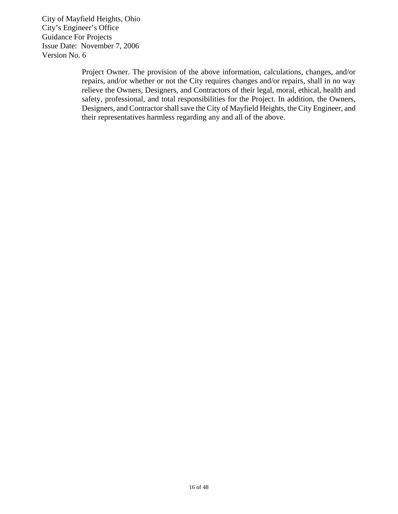> Project Owner. The provision of the above information, calculations, changes, and/or repairs, and/or whether or not the City requires changes and/or repairs, shall in no way relieve the Owners, Designers, and Contractors of their legal, moral, ethical, health and safety, professional, and total responsibilities for the Project. In addition, the Owners, Designers, and Contractor shall save the City of Mayfield Heights, the City Engineer, and their representatives harmless regarding any and all of the above.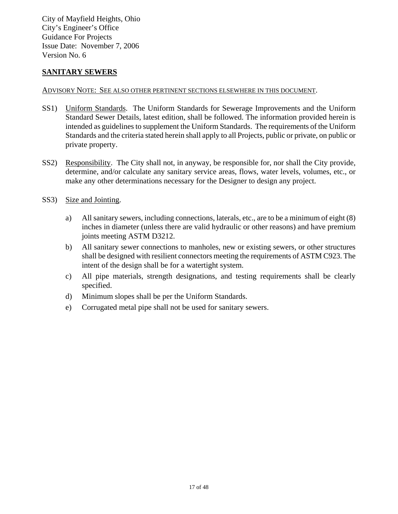#### **SANITARY SEWERS**

#### ADVISORY NOTE: SEE ALSO OTHER PERTINENT SECTIONS ELSEWHERE IN THIS DOCUMENT.

- SS1) Uniform Standards. The Uniform Standards for Sewerage Improvements and the Uniform Standard Sewer Details, latest edition, shall be followed. The information provided herein is intended as guidelines to supplement the Uniform Standards. The requirements of the Uniform Standards and the criteria stated herein shall apply to all Projects, public or private, on public or private property.
- SS2) Responsibility. The City shall not, in anyway, be responsible for, nor shall the City provide, determine, and/or calculate any sanitary service areas, flows, water levels, volumes, etc., or make any other determinations necessary for the Designer to design any project.
- SS3) Size and Jointing.
	- a) All sanitary sewers, including connections, laterals, etc., are to be a minimum of eight (8) inches in diameter (unless there are valid hydraulic or other reasons) and have premium joints meeting ASTM D3212.
	- b) All sanitary sewer connections to manholes, new or existing sewers, or other structures shall be designed with resilient connectors meeting the requirements of ASTM C923. The intent of the design shall be for a watertight system.
	- c) All pipe materials, strength designations, and testing requirements shall be clearly specified.
	- d) Minimum slopes shall be per the Uniform Standards.
	- e) Corrugated metal pipe shall not be used for sanitary sewers.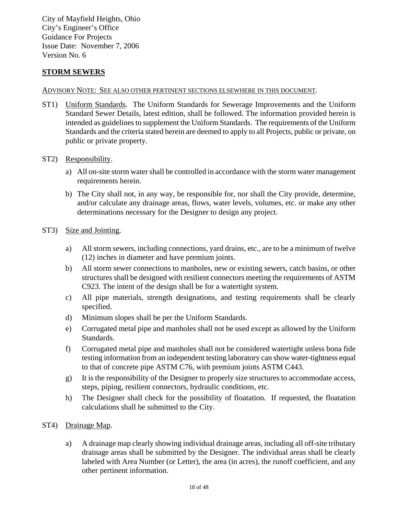#### **STORM SEWERS**

#### ADVISORY NOTE: SEE ALSO OTHER PERTINENT SECTIONS ELSEWHERE IN THIS DOCUMENT.

ST1) Uniform Standards. The Uniform Standards for Sewerage Improvements and the Uniform Standard Sewer Details, latest edition, shall be followed. The information provided herein is intended as guidelines to supplement the Uniform Standards. The requirements of the Uniform Standards and the criteria stated herein are deemed to apply to all Projects, public or private, on public or private property.

#### ST2) Responsibility.

- a) All on-site storm water shall be controlled in accordance with the storm water management requirements herein.
- b) The City shall not, in any way, be responsible for, nor shall the City provide, determine, and/or calculate any drainage areas, flows, water levels, volumes, etc. or make any other determinations necessary for the Designer to design any project.

#### ST3) Size and Jointing.

- a) All storm sewers, including connections, yard drains, etc., are to be a minimum of twelve (12) inches in diameter and have premium joints.
- b) All storm sewer connections to manholes, new or existing sewers, catch basins, or other structures shall be designed with resilient connectors meeting the requirements of ASTM C923. The intent of the design shall be for a watertight system.
- c) All pipe materials, strength designations, and testing requirements shall be clearly specified.
- d) Minimum slopes shall be per the Uniform Standards.
- e) Corrugated metal pipe and manholes shall not be used except as allowed by the Uniform Standards.
- f) Corrugated metal pipe and manholes shall not be considered watertight unless bona fide testing information from an independent testing laboratory can show water-tightness equal to that of concrete pipe ASTM C76, with premium joints ASTM C443.
- g) It is the responsibility of the Designer to properly size structures to accommodate access, steps, piping, resilient connectors, hydraulic conditions, etc.
- h) The Designer shall check for the possibility of floatation. If requested, the floatation calculations shall be submitted to the City.
- ST4) Drainage Map.
	- a) A drainage map clearly showing individual drainage areas, including all off-site tributary drainage areas shall be submitted by the Designer. The individual areas shall be clearly labeled with Area Number (or Letter), the area (in acres), the runoff coefficient, and any other pertinent information.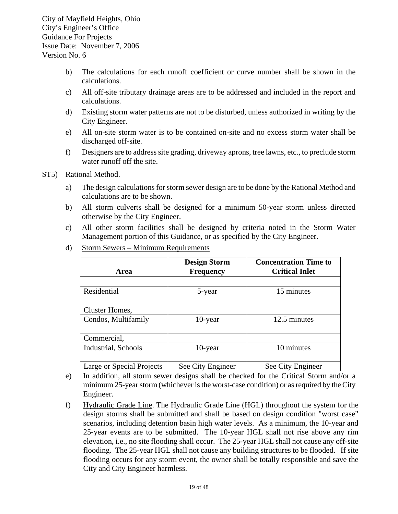- b) The calculations for each runoff coefficient or curve number shall be shown in the calculations.
- c) All off-site tributary drainage areas are to be addressed and included in the report and calculations.
- d) Existing storm water patterns are not to be disturbed, unless authorized in writing by the City Engineer.
- e) All on-site storm water is to be contained on-site and no excess storm water shall be discharged off-site.
- f) Designers are to address site grading, driveway aprons, tree lawns, etc., to preclude storm water runoff off the site.

#### ST5) Rational Method.

- a) The design calculations for storm sewer design are to be done by the Rational Method and calculations are to be shown.
- b) All storm culverts shall be designed for a minimum 50-year storm unless directed otherwise by the City Engineer.
- c) All other storm facilities shall be designed by criteria noted in the Storm Water Management portion of this Guidance, or as specified by the City Engineer.

| Area                      | <b>Design Storm</b><br><b>Frequency</b> | <b>Concentration Time to</b><br><b>Critical Inlet</b> |  |  |
|---------------------------|-----------------------------------------|-------------------------------------------------------|--|--|
|                           |                                         |                                                       |  |  |
| Residential               | 5-year                                  | 15 minutes                                            |  |  |
|                           |                                         |                                                       |  |  |
| Cluster Homes,            |                                         |                                                       |  |  |
| Condos, Multifamily       | 10-year                                 | 12.5 minutes                                          |  |  |
|                           |                                         |                                                       |  |  |
| Commercial,               |                                         |                                                       |  |  |
| Industrial, Schools       | $10$ -year                              | 10 minutes                                            |  |  |
|                           |                                         |                                                       |  |  |
| Large or Special Projects | See City Engineer                       | See City Engineer                                     |  |  |

d) Storm Sewers – Minimum Requirements

- e) In addition, all storm sewer designs shall be checked for the Critical Storm and/or a minimum 25-year storm (whichever is the worst-case condition) or as required by the City Engineer.
- f) Hydraulic Grade Line. The Hydraulic Grade Line (HGL) throughout the system for the design storms shall be submitted and shall be based on design condition "worst case" scenarios, including detention basin high water levels. As a minimum, the 10-year and 25-year events are to be submitted. The 10-year HGL shall not rise above any rim elevation, i.e., no site flooding shall occur. The 25-year HGL shall not cause any off-site flooding. The 25-year HGL shall not cause any building structures to be flooded. If site flooding occurs for any storm event, the owner shall be totally responsible and save the City and City Engineer harmless.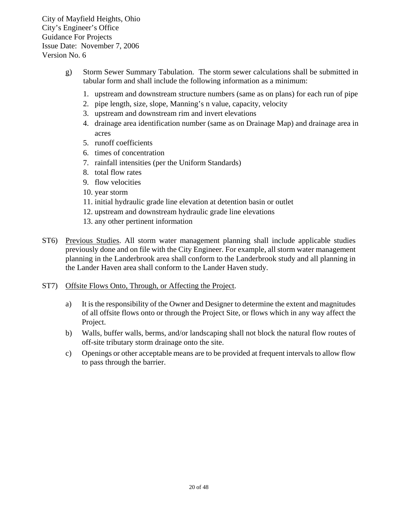- g) Storm Sewer Summary Tabulation. The storm sewer calculations shall be submitted in tabular form and shall include the following information as a minimum:
	- 1. upstream and downstream structure numbers (same as on plans) for each run of pipe
	- 2. pipe length, size, slope, Manning's n value, capacity, velocity
	- 3. upstream and downstream rim and invert elevations
	- 4. drainage area identification number (same as on Drainage Map) and drainage area in acres
	- 5. runoff coefficients
	- 6. times of concentration
	- 7. rainfall intensities (per the Uniform Standards)
	- 8. total flow rates
	- 9. flow velocities
	- 10. year storm
	- 11. initial hydraulic grade line elevation at detention basin or outlet
	- 12. upstream and downstream hydraulic grade line elevations
	- 13. any other pertinent information
- ST6) Previous Studies. All storm water management planning shall include applicable studies previously done and on file with the City Engineer. For example, all storm water management planning in the Landerbrook area shall conform to the Landerbrook study and all planning in the Lander Haven area shall conform to the Lander Haven study.
- ST7) Offsite Flows Onto, Through, or Affecting the Project.
	- a) It is the responsibility of the Owner and Designer to determine the extent and magnitudes of all offsite flows onto or through the Project Site, or flows which in any way affect the Project.
	- b) Walls, buffer walls, berms, and/or landscaping shall not block the natural flow routes of off-site tributary storm drainage onto the site.
	- c) Openings or other acceptable means are to be provided at frequent intervals to allow flow to pass through the barrier.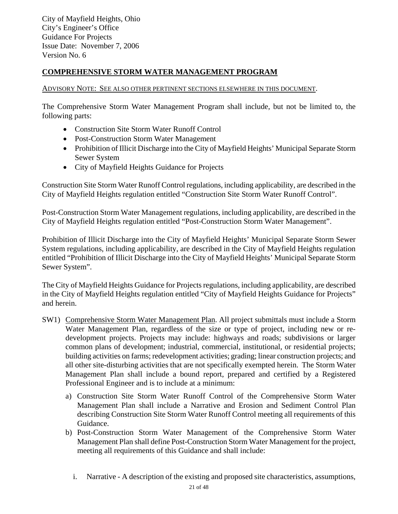#### **COMPREHENSIVE STORM WATER MANAGEMENT PROGRAM**

#### ADVISORY NOTE: SEE ALSO OTHER PERTINENT SECTIONS ELSEWHERE IN THIS DOCUMENT.

The Comprehensive Storm Water Management Program shall include, but not be limited to, the following parts:

- Construction Site Storm Water Runoff Control
- Post-Construction Storm Water Management
- Prohibition of Illicit Discharge into the City of Mayfield Heights' Municipal Separate Storm Sewer System
- City of Mayfield Heights Guidance for Projects

Construction Site Storm Water Runoff Control regulations, including applicability, are described in the City of Mayfield Heights regulation entitled "Construction Site Storm Water Runoff Control".

Post-Construction Storm Water Management regulations, including applicability, are described in the City of Mayfield Heights regulation entitled "Post-Construction Storm Water Management".

Prohibition of Illicit Discharge into the City of Mayfield Heights' Municipal Separate Storm Sewer System regulations, including applicability, are described in the City of Mayfield Heights regulation entitled "Prohibition of Illicit Discharge into the City of Mayfield Heights' Municipal Separate Storm Sewer System".

The City of Mayfield Heights Guidance for Projects regulations, including applicability, are described in the City of Mayfield Heights regulation entitled "City of Mayfield Heights Guidance for Projects" and herein.

- SW1) Comprehensive Storm Water Management Plan. All project submittals must include a Storm Water Management Plan, regardless of the size or type of project, including new or redevelopment projects. Projects may include: highways and roads; subdivisions or larger common plans of development; industrial, commercial, institutional, or residential projects; building activities on farms; redevelopment activities; grading; linear construction projects; and all other site-disturbing activities that are not specifically exempted herein. The Storm Water Management Plan shall include a bound report, prepared and certified by a Registered Professional Engineer and is to include at a minimum:
	- a) Construction Site Storm Water Runoff Control of the Comprehensive Storm Water Management Plan shall include a Narrative and Erosion and Sediment Control Plan describing Construction Site Storm Water Runoff Control meeting all requirements of this Guidance.
	- b) Post-Construction Storm Water Management of the Comprehensive Storm Water Management Plan shall define Post-Construction Storm Water Management for the project, meeting all requirements of this Guidance and shall include:
		- i. Narrative A description of the existing and proposed site characteristics, assumptions,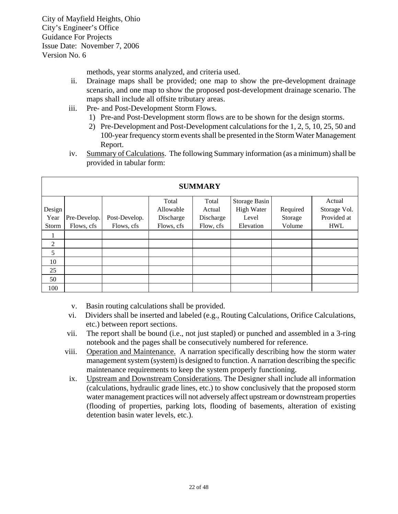methods, year storms analyzed, and criteria used.

- ii. Drainage maps shall be provided; one map to show the pre-development drainage scenario, and one map to show the proposed post-development drainage scenario. The maps shall include all offsite tributary areas.
- iii. Pre- and Post-Development Storm Flows.
	- 1) Pre-and Post-Development storm flows are to be shown for the design storms.
	- 2) Pre-Development and Post-Development calculations for the 1, 2, 5, 10, 25, 50 and 100-year frequency storm events shall be presented in the Storm Water Management Report.
- iv. Summary of Calculations. The following Summary information (as a minimum) shall be provided in tabular form:

| <b>SUMMARY</b> |              |               |            |           |               |          |              |
|----------------|--------------|---------------|------------|-----------|---------------|----------|--------------|
|                |              |               | Total      | Total     | Storage Basin |          | Actual       |
| Design         |              |               | Allowable  | Actual    | High Water    | Required | Storage Vol. |
| Year           | Pre-Develop. | Post-Develop. | Discharge  | Discharge | Level         | Storage  | Provided at  |
| Storm          | Flows, cfs   | Flows, cfs    | Flows, cfs | Flow, cfs | Elevation     | Volume   | <b>HWL</b>   |
|                |              |               |            |           |               |          |              |
| 2              |              |               |            |           |               |          |              |
| 5              |              |               |            |           |               |          |              |
| 10             |              |               |            |           |               |          |              |
| 25             |              |               |            |           |               |          |              |
| 50             |              |               |            |           |               |          |              |
| 100            |              |               |            |           |               |          |              |

- v. Basin routing calculations shall be provided.
- vi. Dividers shall be inserted and labeled (e.g., Routing Calculations, Orifice Calculations, etc.) between report sections.
- vii. The report shall be bound (i.e., not just stapled) or punched and assembled in a 3-ring notebook and the pages shall be consecutively numbered for reference.
- viii. Operation and Maintenance. A narration specifically describing how the storm water management system (system) is designed to function. A narration describing the specific maintenance requirements to keep the system properly functioning.
- ix. Upstream and Downstream Considerations. The Designer shall include all information (calculations, hydraulic grade lines, etc.) to show conclusively that the proposed storm water management practices will not adversely affect upstream or downstream properties (flooding of properties, parking lots, flooding of basements, alteration of existing detention basin water levels, etc.).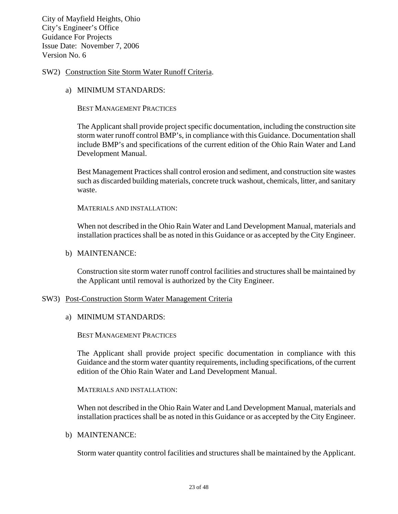#### SW2) Construction Site Storm Water Runoff Criteria.

a) MINIMUM STANDARDS:

BEST MANAGEMENT PRACTICES

The Applicant shall provide project specific documentation, including the construction site storm water runoff control BMP's, in compliance with this Guidance. Documentation shall include BMP's and specifications of the current edition of the Ohio Rain Water and Land Development Manual.

Best Management Practices shall control erosion and sediment, and construction site wastes such as discarded building materials, concrete truck washout, chemicals, litter, and sanitary waste.

MATERIALS AND INSTALLATION:

When not described in the Ohio Rain Water and Land Development Manual, materials and installation practices shall be as noted in this Guidance or as accepted by the City Engineer.

#### b) MAINTENANCE:

Construction site storm water runoff control facilities and structures shall be maintained by the Applicant until removal is authorized by the City Engineer.

#### SW3) Post-Construction Storm Water Management Criteria

a) MINIMUM STANDARDS:

BEST MANAGEMENT PRACTICES

The Applicant shall provide project specific documentation in compliance with this Guidance and the storm water quantity requirements, including specifications, of the current edition of the Ohio Rain Water and Land Development Manual.

MATERIALS AND INSTALLATION:

When not described in the Ohio Rain Water and Land Development Manual, materials and installation practices shall be as noted in this Guidance or as accepted by the City Engineer.

#### b) MAINTENANCE:

Storm water quantity control facilities and structures shall be maintained by the Applicant.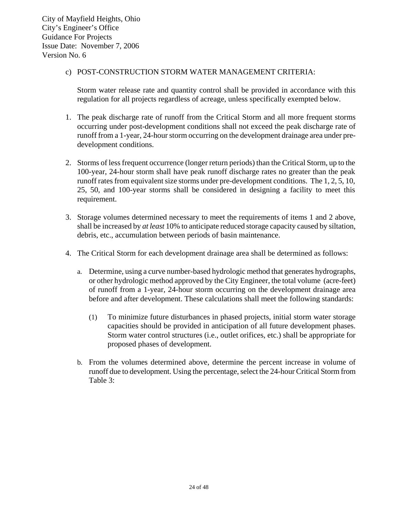#### c) POST-CONSTRUCTION STORM WATER MANAGEMENT CRITERIA:

 Storm water release rate and quantity control shall be provided in accordance with this regulation for all projects regardless of acreage, unless specifically exempted below.

- 1. The peak discharge rate of runoff from the Critical Storm and all more frequent storms occurring under post-development conditions shall not exceed the peak discharge rate of runoff from a 1-year, 24-hour storm occurring on the development drainage area under predevelopment conditions.
- 2. Storms of less frequent occurrence (longer return periods) than the Critical Storm, up to the 100-year, 24-hour storm shall have peak runoff discharge rates no greater than the peak runoff rates from equivalent size storms under pre-development conditions. The 1, 2, 5, 10, 25, 50, and 100-year storms shall be considered in designing a facility to meet this requirement.
- 3. Storage volumes determined necessary to meet the requirements of items 1 and 2 above, shall be increased by *at least* 10% to anticipate reduced storage capacity caused by siltation, debris, etc., accumulation between periods of basin maintenance.
- 4. The Critical Storm for each development drainage area shall be determined as follows:
	- a. Determine, using a curve number-based hydrologic method that generates hydrographs, or other hydrologic method approved by the City Engineer, the total volume (acre-feet) of runoff from a 1-year, 24-hour storm occurring on the development drainage area before and after development. These calculations shall meet the following standards:
		- (1) To minimize future disturbances in phased projects, initial storm water storage capacities should be provided in anticipation of all future development phases. Storm water control structures (i.e., outlet orifices, etc.) shall be appropriate for proposed phases of development.
	- b. From the volumes determined above, determine the percent increase in volume of runoff due to development. Using the percentage, select the 24-hour Critical Storm from Table 3: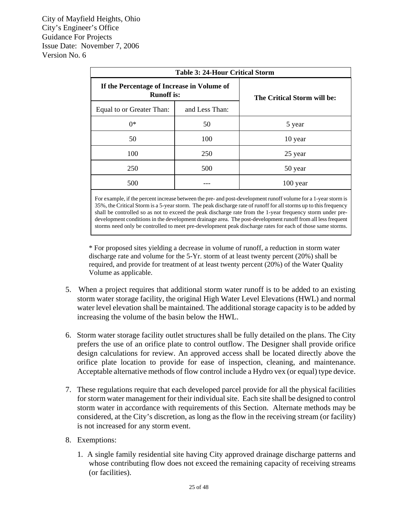| <b>Table 3: 24-Hour Critical Storm</b>                          |                |                             |  |  |
|-----------------------------------------------------------------|----------------|-----------------------------|--|--|
| If the Percentage of Increase in Volume of<br><b>Runoff</b> is: |                | The Critical Storm will be: |  |  |
| Equal to or Greater Than:                                       | and Less Than: |                             |  |  |
| $0^*$                                                           | 50             | 5 year                      |  |  |
| 50                                                              | 100            | 10 year                     |  |  |
| 100                                                             | 250            | 25 year                     |  |  |
| 250                                                             | 500            | 50 year                     |  |  |
| 500                                                             |                | 100 year                    |  |  |

For example, if the percent increase between the pre- and post-development runoff volume for a 1-year storm is 35%, the Critical Storm is a 5-year storm. The peak discharge rate of runoff for all storms up to this frequency shall be controlled so as not to exceed the peak discharge rate from the 1-year frequency storm under predevelopment conditions in the development drainage area. The post-development runoff from all less frequent storms need only be controlled to meet pre-development peak discharge rates for each of those same storms.

\* For proposed sites yielding a decrease in volume of runoff, a reduction in storm water discharge rate and volume for the 5-Yr. storm of at least twenty percent (20%) shall be required, and provide for treatment of at least twenty percent (20%) of the Water Quality Volume as applicable.

- 5. When a project requires that additional storm water runoff is to be added to an existing storm water storage facility, the original High Water Level Elevations (HWL) and normal water level elevation shall be maintained. The additional storage capacity is to be added by increasing the volume of the basin below the HWL.
- 6. Storm water storage facility outlet structures shall be fully detailed on the plans. The City prefers the use of an orifice plate to control outflow. The Designer shall provide orifice design calculations for review. An approved access shall be located directly above the orifice plate location to provide for ease of inspection, cleaning, and maintenance. Acceptable alternative methods of flow control include a Hydro vex (or equal) type device.
- 7. These regulations require that each developed parcel provide for all the physical facilities for storm water management for their individual site. Each site shall be designed to control storm water in accordance with requirements of this Section. Alternate methods may be considered, at the City's discretion, as long as the flow in the receiving stream (or facility) is not increased for any storm event.
- 8. Exemptions:
	- 1. A single family residential site having City approved drainage discharge patterns and whose contributing flow does not exceed the remaining capacity of receiving streams (or facilities).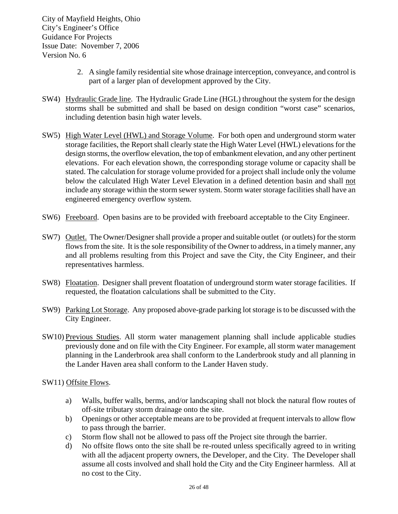- 2. A single family residential site whose drainage interception, conveyance, and control is part of a larger plan of development approved by the City.
- SW4) Hydraulic Grade line. The Hydraulic Grade Line (HGL) throughout the system for the design storms shall be submitted and shall be based on design condition "worst case" scenarios, including detention basin high water levels.
- SW5) High Water Level (HWL) and Storage Volume. For both open and underground storm water storage facilities, the Report shall clearly state the High Water Level (HWL) elevations for the design storms, the overflow elevation, the top of embankment elevation, and any other pertinent elevations. For each elevation shown, the corresponding storage volume or capacity shall be stated. The calculation for storage volume provided for a project shall include only the volume below the calculated High Water Level Elevation in a defined detention basin and shall not include any storage within the storm sewer system. Storm water storage facilities shall have an engineered emergency overflow system.
- SW6) Freeboard. Open basins are to be provided with freeboard acceptable to the City Engineer.
- SW7) Outlet. The Owner/Designer shall provide a proper and suitable outlet (or outlets) for the storm flows from the site. It is the sole responsibility of the Owner to address, in a timely manner, any and all problems resulting from this Project and save the City, the City Engineer, and their representatives harmless.
- SW8) Floatation. Designer shall prevent floatation of underground storm water storage facilities. If requested, the floatation calculations shall be submitted to the City.
- SW9) Parking Lot Storage. Any proposed above-grade parking lot storage is to be discussed with the City Engineer.
- SW10) Previous Studies. All storm water management planning shall include applicable studies previously done and on file with the City Engineer. For example, all storm water management planning in the Landerbrook area shall conform to the Landerbrook study and all planning in the Lander Haven area shall conform to the Lander Haven study.

SW11) Offsite Flows.

- a) Walls, buffer walls, berms, and/or landscaping shall not block the natural flow routes of off-site tributary storm drainage onto the site.
- b) Openings or other acceptable means are to be provided at frequent intervals to allow flow to pass through the barrier.
- c) Storm flow shall not be allowed to pass off the Project site through the barrier.
- d) No offsite flows onto the site shall be re-routed unless specifically agreed to in writing with all the adjacent property owners, the Developer, and the City. The Developer shall assume all costs involved and shall hold the City and the City Engineer harmless. All at no cost to the City.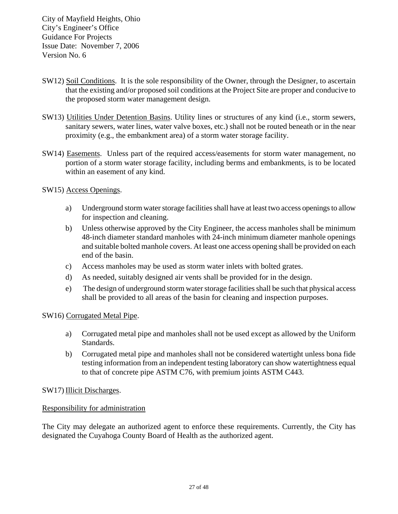- SW12) Soil Conditions. It is the sole responsibility of the Owner, through the Designer, to ascertain that the existing and/or proposed soil conditions at the Project Site are proper and conducive to the proposed storm water management design.
- SW13) Utilities Under Detention Basins. Utility lines or structures of any kind (i.e., storm sewers, sanitary sewers, water lines, water valve boxes, etc.) shall not be routed beneath or in the near proximity (e.g., the embankment area) of a storm water storage facility.
- SW14) Easements. Unless part of the required access/easements for storm water management, no portion of a storm water storage facility, including berms and embankments, is to be located within an easement of any kind.

#### SW15) Access Openings.

- a) Underground storm water storage facilities shall have at least two access openings to allow for inspection and cleaning.
- b) Unless otherwise approved by the City Engineer, the access manholes shall be minimum 48-inch diameter standard manholes with 24-inch minimum diameter manhole openings and suitable bolted manhole covers. At least one access opening shall be provided on each end of the basin.
- c) Access manholes may be used as storm water inlets with bolted grates.
- d) As needed, suitably designed air vents shall be provided for in the design.
- e) The design of underground storm water storage facilities shall be such that physical access shall be provided to all areas of the basin for cleaning and inspection purposes.

#### SW16) Corrugated Metal Pipe.

- a) Corrugated metal pipe and manholes shall not be used except as allowed by the Uniform Standards.
- b) Corrugated metal pipe and manholes shall not be considered watertight unless bona fide testing information from an independent testing laboratory can show watertightness equal to that of concrete pipe ASTM C76, with premium joints ASTM C443.

#### SW17) Illicit Discharges.

#### Responsibility for administration

The City may delegate an authorized agent to enforce these requirements. Currently, the City has designated the Cuyahoga County Board of Health as the authorized agent.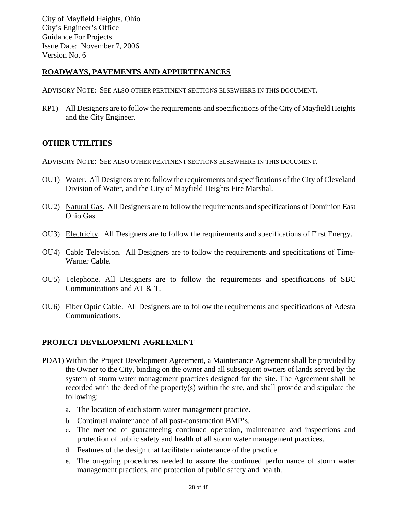#### **ROADWAYS, PAVEMENTS AND APPURTENANCES**

#### ADVISORY NOTE: SEE ALSO OTHER PERTINENT SECTIONS ELSEWHERE IN THIS DOCUMENT.

RP1) All Designers are to follow the requirements and specifications of the City of Mayfield Heights and the City Engineer.

#### **OTHER UTILITIES**

#### ADVISORY NOTE: SEE ALSO OTHER PERTINENT SECTIONS ELSEWHERE IN THIS DOCUMENT.

- OU1) Water. All Designers are to follow the requirements and specifications of the City of Cleveland Division of Water, and the City of Mayfield Heights Fire Marshal.
- OU2) Natural Gas. All Designers are to follow the requirements and specifications of Dominion East Ohio Gas.
- OU3) Electricity. All Designers are to follow the requirements and specifications of First Energy.
- OU4) Cable Television. All Designers are to follow the requirements and specifications of Time-Warner Cable.
- OU5) Telephone. All Designers are to follow the requirements and specifications of SBC Communications and AT & T.
- OU6) Fiber Optic Cable. All Designers are to follow the requirements and specifications of Adesta Communications.

#### **PROJECT DEVELOPMENT AGREEMENT**

- PDA1) Within the Project Development Agreement, a Maintenance Agreement shall be provided by the Owner to the City, binding on the owner and all subsequent owners of lands served by the system of storm water management practices designed for the site. The Agreement shall be recorded with the deed of the property(s) within the site, and shall provide and stipulate the following:
	- a. The location of each storm water management practice.
	- b. Continual maintenance of all post-construction BMP's.
	- c. The method of guaranteeing continued operation, maintenance and inspections and protection of public safety and health of all storm water management practices.
	- d. Features of the design that facilitate maintenance of the practice.
	- e. The on-going procedures needed to assure the continued performance of storm water management practices, and protection of public safety and health.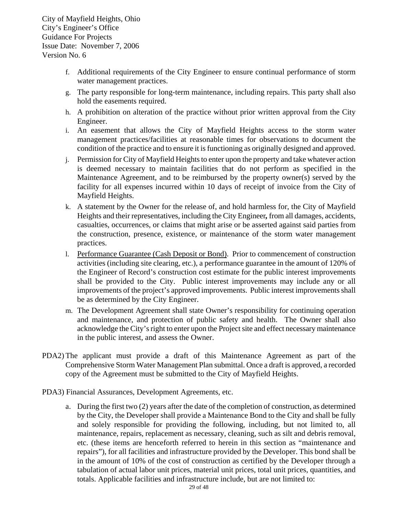- f. Additional requirements of the City Engineer to ensure continual performance of storm water management practices.
- g. The party responsible for long-term maintenance, including repairs. This party shall also hold the easements required.
- h. A prohibition on alteration of the practice without prior written approval from the City Engineer.
- i. An easement that allows the City of Mayfield Heights access to the storm water management practices/facilities at reasonable times for observations to document the condition of the practice and to ensure it is functioning as originally designed and approved.
- j. Permission for City of Mayfield Heights to enter upon the property and take whatever action is deemed necessary to maintain facilities that do not perform as specified in the Maintenance Agreement, and to be reimbursed by the property owner(s) served by the facility for all expenses incurred within 10 days of receipt of invoice from the City of Mayfield Heights.
- k. A statement by the Owner for the release of, and hold harmless for, the City of Mayfield Heights and their representatives, including the City Engineer*,* from all damages, accidents, casualties, occurrences, or claims that might arise or be asserted against said parties from the construction, presence, existence, or maintenance of the storm water management practices.
- l. Performance Guarantee (Cash Deposit or Bond). Prior to commencement of construction activities (including site clearing, etc.), a performance guarantee in the amount of 120% of the Engineer of Record's construction cost estimate for the public interest improvements shall be provided to the City. Public interest improvements may include any or all improvements of the project's approved improvements. Public interest improvements shall be as determined by the City Engineer.
- m. The Development Agreement shall state Owner's responsibility for continuing operation and maintenance, and protection of public safety and health. The Owner shall also acknowledge the City's right to enter upon the Project site and effect necessary maintenance in the public interest, and assess the Owner.
- PDA2) The applicant must provide a draft of this Maintenance Agreement as part of the Comprehensive Storm Water Management Plan submittal. Once a draft is approved, a recorded copy of the Agreement must be submitted to the City of Mayfield Heights.
- PDA3) Financial Assurances, Development Agreements, etc.
	- a. During the first two (2) years after the date of the completion of construction, as determined by the City, the Developer shall provide a Maintenance Bond to the City and shall be fully and solely responsible for providing the following, including, but not limited to, all maintenance, repairs, replacement as necessary, cleaning, such as silt and debris removal, etc. (these items are henceforth referred to herein in this section as "maintenance and repairs"), for all facilities and infrastructure provided by the Developer. This bond shall be in the amount of 10% of the cost of construction as certified by the Developer through a tabulation of actual labor unit prices, material unit prices, total unit prices, quantities, and totals. Applicable facilities and infrastructure include, but are not limited to: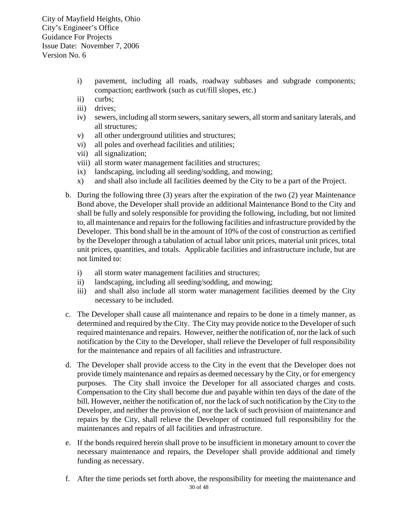- i) pavement, including all roads, roadway subbases and subgrade components; compaction; earthwork (such as cut/fill slopes, etc.)
- ii) curbs;
- iii) drives;
- iv) sewers, including all storm sewers, sanitary sewers, all storm and sanitary laterals, and all structures;
- v) all other underground utilities and structures;
- vi) all poles and overhead facilities and utilities;
- vii) all signalization;
- viii) all storm water management facilities and structures;
- ix) landscaping, including all seeding/sodding, and mowing;
- x) and shall also include all facilities deemed by the City to be a part of the Project.
- b. During the following three (3) years after the expiration of the two (2) year Maintenance Bond above, the Developer shall provide an additional Maintenance Bond to the City and shall be fully and solely responsible for providing the following, including, but not limited to, all maintenance and repairs for the following facilities and infrastructure provided by the Developer. This bond shall be in the amount of 10% of the cost of construction as certified by the Developer through a tabulation of actual labor unit prices, material unit prices, total unit prices, quantities, and totals. Applicable facilities and infrastructure include, but are not limited to:
	- i) all storm water management facilities and structures;
	- ii) landscaping, including all seeding/sodding, and mowing;
	- iii) and shall also include all storm water management facilities deemed by the City necessary to be included.
- c. The Developer shall cause all maintenance and repairs to be done in a timely manner, as determined and required by the City. The City may provide notice to the Developer of such required maintenance and repairs. However, neither the notification of, nor the lack of such notification by the City to the Developer, shall relieve the Developer of full responsibility for the maintenance and repairs of all facilities and infrastructure.
- d. The Developer shall provide access to the City in the event that the Developer does not provide timely maintenance and repairs as deemed necessary by the City, or for emergency purposes. The City shall invoice the Developer for all associated charges and costs. Compensation to the City shall become due and payable within ten days of the date of the bill. However, neither the notification of, nor the lack of such notification by the City to the Developer, and neither the provision of, nor the lack of such provision of maintenance and repairs by the City, shall relieve the Developer of continued full responsibility for the maintenances and repairs of all facilities and infrastructure.
- e. If the bonds required herein shall prove to be insufficient in monetary amount to cover the necessary maintenance and repairs, the Developer shall provide additional and timely funding as necessary.
- f. After the time periods set forth above, the responsibility for meeting the maintenance and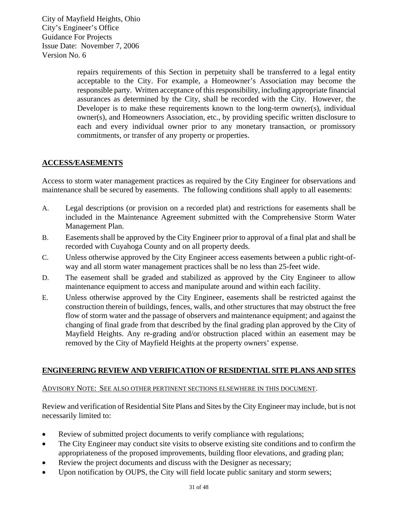> repairs requirements of this Section in perpetuity shall be transferred to a legal entity acceptable to the City. For example, a Homeowner's Association may become the responsible party. Written acceptance of this responsibility, including appropriate financial assurances as determined by the City, shall be recorded with the City. However, the Developer is to make these requirements known to the long-term owner(s), individual owner(s), and Homeowners Association, etc., by providing specific written disclosure to each and every individual owner prior to any monetary transaction, or promissory commitments, or transfer of any property or properties.

#### **ACCESS***/***EASEMENTS**

Access to storm water management practices as required by the City Engineer for observations and maintenance shall be secured by easements. The following conditions shall apply to all easements:

- A. Legal descriptions (or provision on a recorded plat) and restrictions for easements shall be included in the Maintenance Agreement submitted with the Comprehensive Storm Water Management Plan.
- B. Easements shall be approved by the City Engineer prior to approval of a final plat and shall be recorded with Cuyahoga County and on all property deeds.
- C. Unless otherwise approved by the City Engineer access easements between a public right-ofway and all storm water management practices shall be no less than 25-feet wide.
- D. The easement shall be graded and stabilized as approved by the City Engineer to allow maintenance equipment to access and manipulate around and within each facility.
- E. Unless otherwise approved by the City Engineer, easements shall be restricted against the construction therein of buildings, fences, walls, and other structures that may obstruct the free flow of storm water and the passage of observers and maintenance equipment; and against the changing of final grade from that described by the final grading plan approved by the City of Mayfield Heights. Any re-grading and/or obstruction placed within an easement may be removed by the City of Mayfield Heights at the property owners' expense.

#### **ENGINEERING REVIEW AND VERIFICATION OF RESIDENTIAL SITE PLANS AND SITES**

#### ADVISORY NOTE: SEE ALSO OTHER PERTINENT SECTIONS ELSEWHERE IN THIS DOCUMENT.

Review and verification of Residential Site Plans and Sites by the City Engineer may include, but is not necessarily limited to:

- Review of submitted project documents to verify compliance with regulations;
- The City Engineer may conduct site visits to observe existing site conditions and to confirm the appropriateness of the proposed improvements, building floor elevations, and grading plan;
- Review the project documents and discuss with the Designer as necessary;
- Upon notification by OUPS, the City will field locate public sanitary and storm sewers;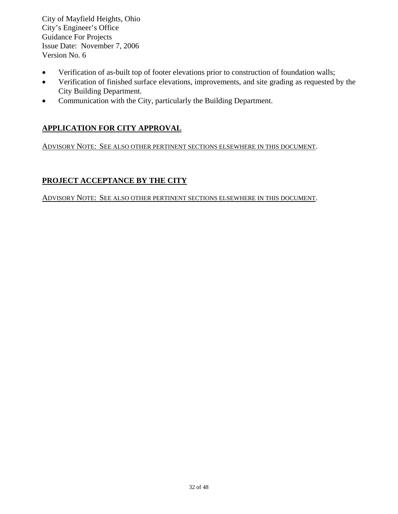- Verification of as-built top of footer elevations prior to construction of foundation walls;
- Verification of finished surface elevations, improvements, and site grading as requested by the City Building Department.
- Communication with the City, particularly the Building Department.

#### **APPLICATION FOR CITY APPROVAL**

ADVISORY NOTE: SEE ALSO OTHER PERTINENT SECTIONS ELSEWHERE IN THIS DOCUMENT.

#### **PROJECT ACCEPTANCE BY THE CITY**

ADVISORY NOTE: SEE ALSO OTHER PERTINENT SECTIONS ELSEWHERE IN THIS DOCUMENT.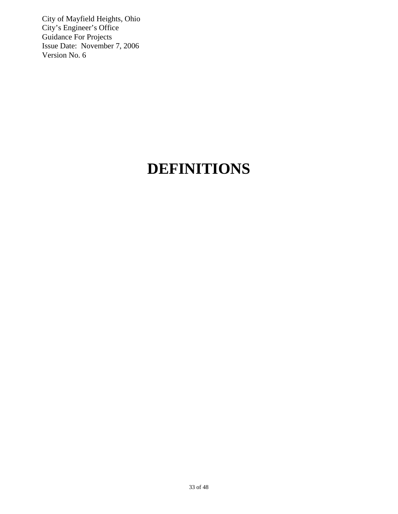## **DEFINITIONS**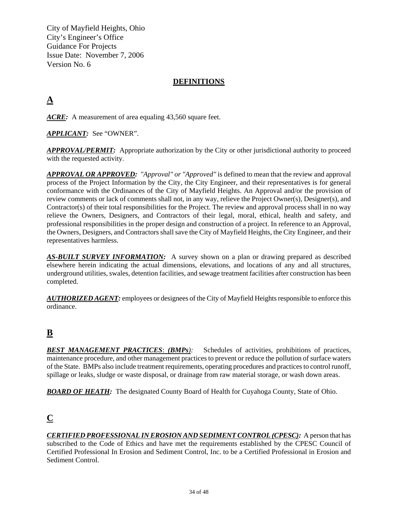#### **DEFINITIONS**

## **A**

*ACRE:* A measurement of area equaling 43,560 square feet.

*APPLICANT:* See "OWNER".

*APPROVAL/PERMIT:* Appropriate authorization by the City or other jurisdictional authority to proceed with the requested activity.

*APPROVAL OR APPROVED: "Approval" or "Approved"* is defined to mean that the review and approval process of the Project Information by the City, the City Engineer, and their representatives is for general conformance with the Ordinances of the City of Mayfield Heights. An Approval and/or the provision of review comments or lack of comments shall not, in any way, relieve the Project Owner(s), Designer(s), and Contractor(s) of their total responsibilities for the Project. The review and approval process shall in no way relieve the Owners, Designers, and Contractors of their legal, moral, ethical, health and safety, and professional responsibilities in the proper design and construction of a project. In reference to an Approval, the Owners, Designers, and Contractors shall save the City of Mayfield Heights, the City Engineer, and their representatives harmless.

**AS-BUILT SURVEY INFORMATION:** A survey shown on a plan or drawing prepared as described elsewhere herein indicating the actual dimensions, elevations, and locations of any and all structures, underground utilities, swales, detention facilities, and sewage treatment facilities after construction has been completed.

*AUTHORIZED AGENT:* employees or designees of the City of Mayfield Heights responsible to enforce this ordinance.

## **B**

*BEST MANAGEMENT PRACTICES*: *(BMPs):* Schedules of activities, prohibitions of practices, maintenance procedure, and other management practices to prevent or reduce the pollution of surface waters of the State. BMPs also include treatment requirements, operating procedures and practices to control runoff, spillage or leaks, sludge or waste disposal, or drainage from raw material storage, or wash down areas.

**BOARD OF HEATH:** The designated County Board of Health for Cuyahoga County, State of Ohio.

## **C**

*CERTIFIED PROFESSIONAL IN EROSION AND SEDIMENT CONTROL (CPESC):* A person that has subscribed to the Code of Ethics and have met the requirements established by the CPESC Council of Certified Professional In Erosion and Sediment Control, Inc. to be a Certified Professional in Erosion and Sediment Control.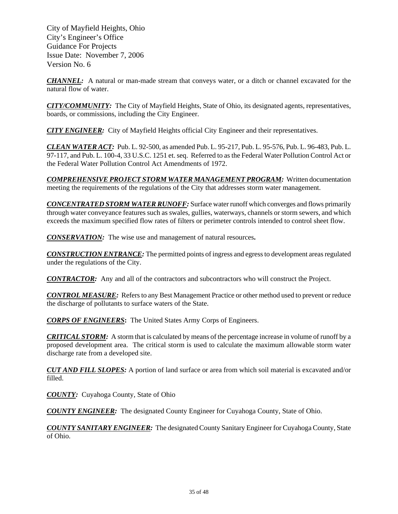*CHANNEL:* A natural or man-made stream that conveys water, or a ditch or channel excavated for the natural flow of water.

*CITY/COMMUNITY:* The City of Mayfield Heights, State of Ohio, its designated agents, representatives, boards, or commissions, including the City Engineer.

*CITY ENGINEER:* City of Mayfield Heights official City Engineer and their representatives.

*CLEAN WATER ACT:* Pub. L. 92-500, as amended Pub. L. 95-217, Pub. L. 95-576, Pub. L. 96-483, Pub. L. 97-117, and Pub. L. 100-4, 33 U.S.C. 1251 et. seq. Referred to as the Federal Water Pollution Control Act or the Federal Water Pollution Control Act Amendments of 1972.

*COMPREHENSIVE PROJECT STORM WATER MANAGEMENT PROGRAM:* Written documentation meeting the requirements of the regulations of the City that addresses storm water management.

*CONCENTRATED STORM WATER RUNOFF:* Surface water runoff which converges and flows primarily through water conveyance features such as swales, gullies, waterways, channels or storm sewers, and which exceeds the maximum specified flow rates of filters or perimeter controls intended to control sheet flow.

*CONSERVATION:* The wise use and management of natural resources**.** 

*CONSTRUCTION ENTRANCE:* The permitted points of ingress and egress to development areas regulated under the regulations of the City.

*CONTRACTOR:* Any and all of the contractors and subcontractors who will construct the Project.

*CONTROL MEASURE:* Refers to any Best Management Practice or other method used to prevent or reduce the discharge of pollutants to surface waters of the State.

*CORPS OF ENGINEERS***:** The United States Army Corps of Engineers.

*CRITICAL STORM:* A storm that is calculated by means of the percentage increase in volume of runoff by a proposed development area. The critical storm is used to calculate the maximum allowable storm water discharge rate from a developed site.

*CUT AND FILL SLOPES:* A portion of land surface or area from which soil material is excavated and/or filled.

*COUNTY:* Cuyahoga County, State of Ohio

*COUNTY ENGINEER:* The designated County Engineer for Cuyahoga County, State of Ohio.

*COUNTY SANITARY ENGINEER:* The designated County Sanitary Engineer for Cuyahoga County, State of Ohio.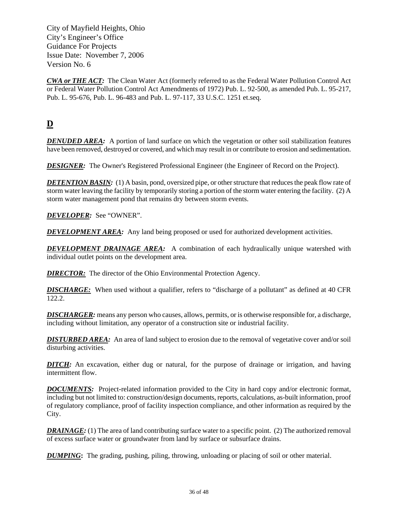*CWA or THE ACT:* The Clean Water Act (formerly referred to as the Federal Water Pollution Control Act or Federal Water Pollution Control Act Amendments of 1972) Pub. L. 92-500, as amended Pub. L. 95-217, Pub. L. 95-676, Pub. L. 96-483 and Pub. L. 97-117, 33 U.S.C. 1251 et.seq.

## **D**

*DENUDED AREA:* A portion of land surface on which the vegetation or other soil stabilization features have been removed, destroyed or covered, and which may result in or contribute to erosion and sedimentation.

*DESIGNER:* The Owner's Registered Professional Engineer (the Engineer of Record on the Project).

**DETENTION BASIN:** (1) A basin, pond, oversized pipe, or other structure that reduces the peak flow rate of storm water leaving the facility by temporarily storing a portion of the storm water entering the facility. (2) A storm water management pond that remains dry between storm events.

*DEVELOPER:* See "OWNER".

**DEVELOPMENT AREA:** Any land being proposed or used for authorized development activities.

*DEVELOPMENT DRAINAGE AREA:* A combination of each hydraulically unique watershed with individual outlet points on the development area.

*DIRECTOR:* The director of the Ohio Environmental Protection Agency.

*DISCHARGE:* When used without a qualifier, refers to "discharge of a pollutant" as defined at 40 CFR 122.2.

*DISCHARGER:* means any person who causes, allows, permits, or is otherwise responsible for, a discharge, including without limitation, any operator of a construction site or industrial facility.

**DISTURBED AREA:** An area of land subject to erosion due to the removal of vegetative cover and/or soil disturbing activities.

*DITCH:* An excavation, either dug or natural, for the purpose of drainage or irrigation, and having intermittent flow.

*DOCUMENTS:* Project-related information provided to the City in hard copy and/or electronic format, including but not limited to: construction/design documents, reports, calculations, as-built information, proof of regulatory compliance, proof of facility inspection compliance, and other information as required by the City.

*DRAINAGE:* (1) The area of land contributing surface water to a specific point. (2) The authorized removal of excess surface water or groundwater from land by surface or subsurface drains.

*DUMPING***:** The grading, pushing, piling, throwing, unloading or placing of soil or other material.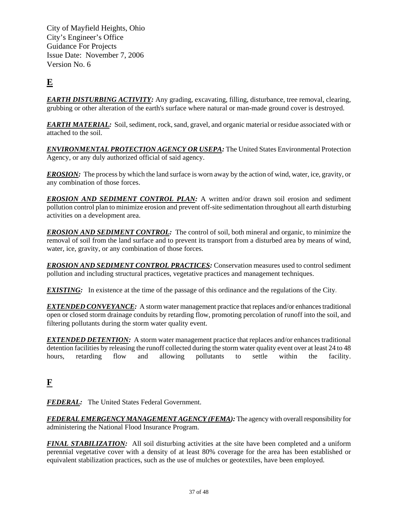## **E**

*EARTH DISTURBING ACTIVITY:* Any grading, excavating, filling, disturbance, tree removal, clearing, grubbing or other alteration of the earth's surface where natural or man-made ground cover is destroyed.

*EARTH MATERIAL:* Soil, sediment, rock, sand, gravel, and organic material or residue associated with or attached to the soil.

*ENVIRONMENTAL PROTECTION AGENCY OR USEPA:* The United States Environmental Protection Agency, or any duly authorized official of said agency.

*EROSION:* The process by which the land surface is worn away by the action of wind, water, ice, gravity, or any combination of those forces.

**EROSION AND SEDIMENT CONTROL PLAN:** A written and/or drawn soil erosion and sediment pollution control plan to minimize erosion and prevent off-site sedimentation throughout all earth disturbing activities on a development area.

*EROSION AND SEDIMENT CONTROL:* The control of soil, both mineral and organic, to minimize the removal of soil from the land surface and to prevent its transport from a disturbed area by means of wind, water, ice, gravity, or any combination of those forces.

*EROSION AND SEDIMENT CONTROL PRACTICES:* Conservation measures used to control sediment pollution and including structural practices, vegetative practices and management techniques.

*EXISTING:* In existence at the time of the passage of this ordinance and the regulations of the City.

*EXTENDED CONVEYANCE:* A storm water management practice that replaces and/or enhances traditional open or closed storm drainage conduits by retarding flow, promoting percolation of runoff into the soil, and filtering pollutants during the storm water quality event.

*EXTENDED DETENTION:* A storm water management practice that replaces and/or enhances traditional detention facilities by releasing the runoff collected during the storm water quality event over at least 24 to 48 hours, retarding flow and allowing pollutants to settle within the facility.

## **F**

*FEDERAL:* The United States Federal Government.

*FEDERAL EMERGENCY MANAGEMENT AGENCY (FEMA):* The agency with overall responsibility for administering the National Flood Insurance Program.

*FINAL STABILIZATION:* All soil disturbing activities at the site have been completed and a uniform perennial vegetative cover with a density of at least 80% coverage for the area has been established or equivalent stabilization practices, such as the use of mulches or geotextiles, have been employed.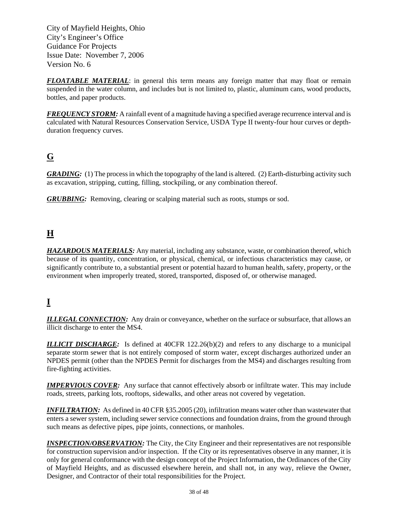*FLOATABLE MATERIAL*: in general this term means any foreign matter that may float or remain suspended in the water column, and includes but is not limited to, plastic, aluminum cans, wood products, bottles, and paper products.

**FREQUENCY STORM:** A rainfall event of a magnitude having a specified average recurrence interval and is calculated with Natural Resources Conservation Service, USDA Type II twenty-four hour curves or depthduration frequency curves.

## **G**

*GRADING:* (1) The process in which the topography of the land is altered. (2) Earth-disturbing activity such as excavation, stripping, cutting, filling, stockpiling, or any combination thereof.

*GRUBBING:* Removing, clearing or scalping material such as roots, stumps or sod.

## **H**

*HAZARDOUS MATERIALS:* Any material, including any substance, waste, or combination thereof, which because of its quantity, concentration, or physical, chemical, or infectious characteristics may cause, or significantly contribute to, a substantial present or potential hazard to human health, safety, property, or the environment when improperly treated, stored, transported, disposed of, or otherwise managed.

## **I**

**ILLEGAL CONNECTION:** Any drain or conveyance, whether on the surface or subsurface, that allows an illicit discharge to enter the MS4.

*ILLICIT DISCHARGE:* Is defined at 40CFR 122.26(b)(2) and refers to any discharge to a municipal separate storm sewer that is not entirely composed of storm water, except discharges authorized under an NPDES permit (other than the NPDES Permit for discharges from the MS4) and discharges resulting from fire-fighting activities.

**IMPERVIOUS COVER:** Any surface that cannot effectively absorb or infiltrate water. This may include roads, streets, parking lots, rooftops, sidewalks, and other areas not covered by vegetation.

**INFILTRATION:** As defined in 40 CFR §35.2005 (20), infiltration means water other than wastewater that enters a sewer system, including sewer service connections and foundation drains, from the ground through such means as defective pipes, pipe joints, connections, or manholes.

*INSPECTION/OBSERVATION:* The City, the City Engineer and their representatives are not responsible for construction supervision and/or inspection. If the City or its representatives observe in any manner, it is only for general conformance with the design concept of the Project Information, the Ordinances of the City of Mayfield Heights, and as discussed elsewhere herein, and shall not, in any way, relieve the Owner, Designer, and Contractor of their total responsibilities for the Project.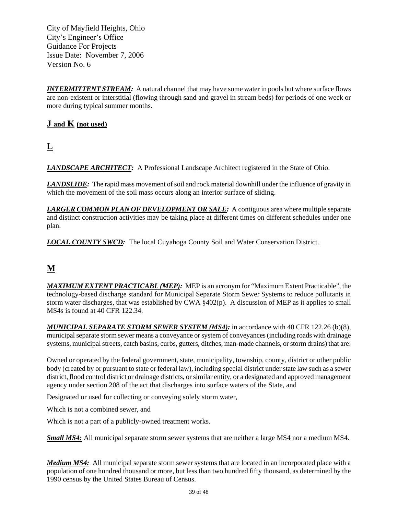*INTERMITTENT STREAM:* A natural channel that may have some water in pools but where surface flows are non-existent or interstitial (flowing through sand and gravel in stream beds) for periods of one week or more during typical summer months.

#### **J and K (not used)**

**L**

*LANDSCAPE ARCHITECT:* A Professional Landscape Architect registered in the State of Ohio.

*LANDSLIDE:* The rapid mass movement of soil and rock material downhill under the influence of gravity in which the movement of the soil mass occurs along an interior surface of sliding.

*LARGER COMMON PLAN OF DEVELOPMENT OR SALE:* A contiguous area where multiple separate and distinct construction activities may be taking place at different times on different schedules under one plan.

*LOCAL COUNTY SWCD:* The local Cuyahoga County Soil and Water Conservation District.

## **M**

*MAXIMUM EXTENT PRACTICABL (MEP):* MEP is an acronym for "Maximum Extent Practicable", the technology-based discharge standard for Municipal Separate Storm Sewer Systems to reduce pollutants in storm water discharges, that was established by CWA §402(p). A discussion of MEP as it applies to small MS4s is found at 40 CFR 122.34.

*MUNICIPAL SEPARATE STORM SEWER SYSTEM (MS4):* in accordance with 40 CFR 122.26 (b)(8), municipal separate storm sewer means a conveyance or system of conveyances (including roads with drainage systems, municipal streets, catch basins, curbs, gutters, ditches, man-made channels, or storm drains) that are:

Owned or operated by the federal government, state, municipality, township, county, district or other public body (created by or pursuant to state or federal law), including special district under state law such as a sewer district, flood control district or drainage districts, or similar entity, or a designated and approved management agency under section 208 of the act that discharges into surface waters of the State, and

Designated or used for collecting or conveying solely storm water,

Which is not a combined sewer, and

Which is not a part of a publicly-owned treatment works.

*Small MS4:* All municipal separate storm sewer systems that are neither a large MS4 nor a medium MS4.

*Medium MS4:* All municipal separate storm sewer systems that are located in an incorporated place with a population of one hundred thousand or more, but less than two hundred fifty thousand, as determined by the 1990 census by the United States Bureau of Census.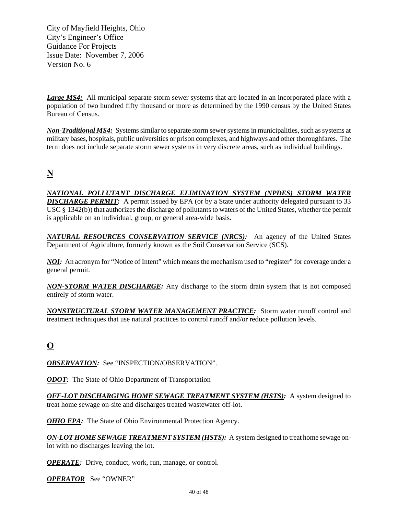*Large MS4:* All municipal separate storm sewer systems that are located in an incorporated place with a population of two hundred fifty thousand or more as determined by the 1990 census by the United States Bureau of Census.

*Non-Traditional MS4:* Systems similar to separate storm sewer systems in municipalities, such as systems at military bases, hospitals, public universities or prison complexes, and highways and other thoroughfares. The term does not include separate storm sewer systems in very discrete areas, such as individual buildings.

## **N**

*NATIONAL POLLUTANT DISCHARGE ELIMINATION SYSTEM (NPDES) STORM WATER*  **DISCHARGE PERMIT:** A permit issued by EPA (or by a State under authority delegated pursuant to 33 USC § 1342(b)) that authorizes the discharge of pollutants to waters of the United States, whether the permit is applicable on an individual, group, or general area-wide basis.

*NATURAL RESOURCES CONSERVATION SERVICE (NRCS):* An agency of the United States Department of Agriculture, formerly known as the Soil Conservation Service (SCS).

*NOI*: An acronym for "Notice of Intent" which means the mechanism used to "register" for coverage under a general permit.

*NON-STORM WATER DISCHARGE:* Any discharge to the storm drain system that is not composed entirely of storm water.

*NONSTRUCTURAL STORM WATER MANAGEMENT PRACTICE:* Storm water runoff control and treatment techniques that use natural practices to control runoff and/or reduce pollution levels.

## **O**

*OBSERVATION:* See "INSPECTION/OBSERVATION".

*ODOT:* The State of Ohio Department of Transportation

*OFF-LOT DISCHARGING HOME SEWAGE TREATMENT SYSTEM (HSTS):* A system designed to treat home sewage on-site and discharges treated wastewater off-lot.

*OHIO EPA:* The State of Ohio Environmental Protection Agency.

*ON-LOT HOME SEWAGE TREATMENT SYSTEM (HSTS):* A system designed to treat home sewage onlot with no discharges leaving the lot.

*OPERATE:* Drive, conduct, work, run, manage, or control.

*OPERATOR* See "OWNER"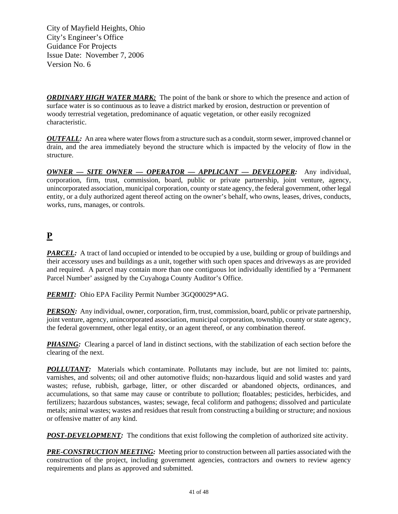*ORDINARY HIGH WATER MARK:* The point of the bank or shore to which the presence and action of surface water is so continuous as to leave a district marked by erosion, destruction or prevention of woody terrestrial vegetation, predominance of aquatic vegetation, or other easily recognized characteristic.

*OUTFALL:* An area where water flows from a structure such as a conduit, storm sewer, improved channel or drain, and the area immediately beyond the structure which is impacted by the velocity of flow in the structure.

*OWNER — SITE OWNER — OPERATOR — APPLICANT — DEVELOPER:* Any individual, corporation, firm, trust, commission, board, public or private partnership, joint venture, agency, unincorporated association, municipal corporation, county or state agency, the federal government, other legal entity, or a duly authorized agent thereof acting on the owner's behalf, who owns, leases, drives, conducts, works, runs, manages, or controls.

## **P**

*PARCEL:* A tract of land occupied or intended to be occupied by a use, building or group of buildings and their accessory uses and buildings as a unit, together with such open spaces and driveways as are provided and required. A parcel may contain more than one contiguous lot individually identified by a 'Permanent Parcel Number' assigned by the Cuyahoga County Auditor's Office.

*PERMIT:* Ohio EPA Facility Permit Number 3GQ00029\*AG.

*PERSON:* Any individual, owner, corporation, firm, trust, commission, board, public or private partnership, joint venture, agency, unincorporated association, municipal corporation, township, county or state agency, the federal government, other legal entity, or an agent thereof, or any combination thereof.

*PHASING:* Clearing a parcel of land in distinct sections, with the stabilization of each section before the clearing of the next.

*POLLUTANT:* Materials which contaminate. Pollutants may include, but are not limited to: paints, varnishes, and solvents; oil and other automotive fluids; non-hazardous liquid and solid wastes and yard wastes; refuse, rubbish, garbage, litter, or other discarded or abandoned objects, ordinances, and accumulations, so that same may cause or contribute to pollution; floatables; pesticides, herbicides, and fertilizers; hazardous substances, wastes; sewage, fecal coliform and pathogens; dissolved and particulate metals; animal wastes; wastes and residues that result from constructing a building or structure; and noxious or offensive matter of any kind.

*POST-DEVELOPMENT:* The conditions that exist following the completion of authorized site activity.

*PRE-CONSTRUCTION MEETING:* Meeting prior to construction between all parties associated with the construction of the project, including government agencies, contractors and owners to review agency requirements and plans as approved and submitted.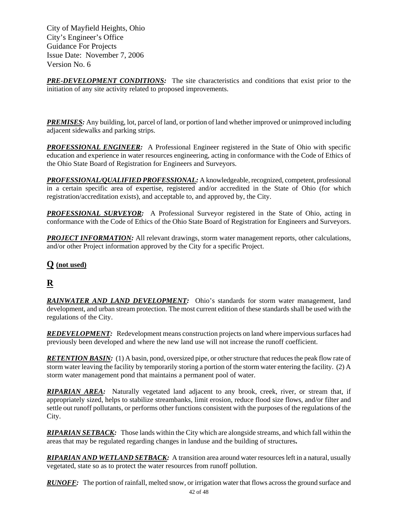*PRE-DEVELOPMENT CONDITIONS:* The site characteristics and conditions that exist prior to the initiation of any site activity related to proposed improvements.

*PREMISES:* Any building, lot, parcel of land, or portion of land whether improved or unimproved including adjacent sidewalks and parking strips.

*PROFESSIONAL ENGINEER:* A Professional Engineer registered in the State of Ohio with specific education and experience in water resources engineering, acting in conformance with the Code of Ethics of the Ohio State Board of Registration for Engineers and Surveyors.

*PROFESSIONAL/QUALIFIED PROFESSIONAL:* A knowledgeable, recognized, competent, professional in a certain specific area of expertise, registered and/or accredited in the State of Ohio (for which registration/accreditation exists), and acceptable to, and approved by, the City.

*PROFESSIONAL SURVEYOR:* A Professional Surveyor registered in the State of Ohio, acting in conformance with the Code of Ethics of the Ohio State Board of Registration for Engineers and Surveyors.

*PROJECT INFORMATION:* All relevant drawings, storm water management reports, other calculations, and/or other Project information approved by the City for a specific Project.

#### **Q (not used)**

## **R**

*RAINWATER AND LAND DEVELOPMENT:* Ohio's standards for storm water management, land development, and urban stream protection. The most current edition of these standards shall be used with the regulations of the City.

*REDEVELOPMENT:* Redevelopment means construction projects on land where impervious surfaces had previously been developed and where the new land use will not increase the runoff coefficient.

*RETENTION BASIN:* (1) A basin, pond, oversized pipe, or other structure that reduces the peak flow rate of storm water leaving the facility by temporarily storing a portion of the storm water entering the facility. (2) A storm water management pond that maintains a permanent pool of water.

*RIPARIAN AREA:* Naturally vegetated land adjacent to any brook, creek, river, or stream that, if appropriately sized, helps to stabilize streambanks, limit erosion, reduce flood size flows, and/or filter and settle out runoff pollutants, or performs other functions consistent with the purposes of the regulations of the City.

*RIPARIAN SETBACK:* Those lands within the City which are alongside streams, and which fall within the areas that may be regulated regarding changes in landuse and the building of structures**.** 

*RIPARIAN AND WETLAND SETBACK:* A transition area around water resources left in a natural, usually vegetated, state so as to protect the water resources from runoff pollution.

*RUNOFF:* The portion of rainfall, melted snow, or irrigation water that flows across the ground surface and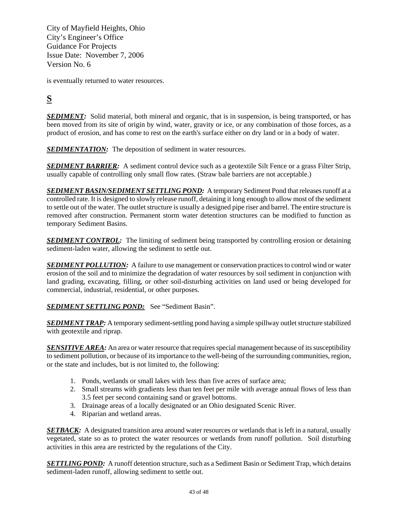is eventually returned to water resources.

## **S**

**SEDIMENT:** Solid material, both mineral and organic, that is in suspension, is being transported, or has been moved from its site of origin by wind, water, gravity or ice, or any combination of those forces, as a product of erosion, and has come to rest on the earth's surface either on dry land or in a body of water.

**SEDIMENTATION:** The deposition of sediment in water resources.

*SEDIMENT BARRIER:* A sediment control device such as a geotextile Silt Fence or a grass Filter Strip, usually capable of controlling only small flow rates. (Straw bale barriers are not acceptable.)

**SEDIMENT BASIN/SEDIMENT SETTLING POND:** A temporary Sediment Pond that releases runoff at a controlled rate. It is designed to slowly release runoff, detaining it long enough to allow most of the sediment to settle out of the water. The outlet structure is usually a designed pipe riser and barrel. The entire structure is removed after construction. Permanent storm water detention structures can be modified to function as temporary Sediment Basins.

**SEDIMENT CONTROL:** The limiting of sediment being transported by controlling erosion or detaining sediment-laden water, allowing the sediment to settle out.

**SEDIMENT POLLUTION:** A failure to use management or conservation practices to control wind or water erosion of the soil and to minimize the degradation of water resources by soil sediment in conjunction with land grading, excavating, filling, or other soil-disturbing activities on land used or being developed for commercial, industrial, residential, or other purposes.

**SEDIMENT SETTLING POND:** See "Sediment Basin".

*SEDIMENT TRAP:* A temporary sediment-settling pond having a simple spillway outlet structure stabilized with geotextile and riprap.

*SENSITIVE AREA:* An area or water resource that requires special management because of its susceptibility to sediment pollution, or because of its importance to the well-being of the surrounding communities, region, or the state and includes, but is not limited to, the following:

- 1. Ponds, wetlands or small lakes with less than five acres of surface area;
- 2. Small streams with gradients less than ten feet per mile with average annual flows of less than 3.5 feet per second containing sand or gravel bottoms.
- 3. Drainage areas of a locally designated or an Ohio designated Scenic River.
- 4. Riparian and wetland areas.

*SETBACK:* A designated transition area around water resources or wetlands that is left in a natural, usually vegetated, state so as to protect the water resources or wetlands from runoff pollution. Soil disturbing activities in this area are restricted by the regulations of the City.

*SETTLING POND:* A runoff detention structure, such as a Sediment Basin or Sediment Trap, which detains sediment-laden runoff, allowing sediment to settle out.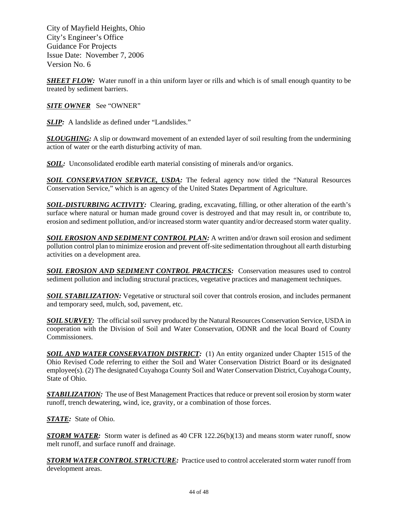*SHEET FLOW:* Water runoff in a thin uniform layer or rills and which is of small enough quantity to be treated by sediment barriers.

*SITE OWNER* See "OWNER"

**SLIP:** A landslide as defined under "Landslides."

**SLOUGHING:** A slip or downward movement of an extended layer of soil resulting from the undermining action of water or the earth disturbing activity of man.

*SOIL:* Unconsolidated erodible earth material consisting of minerals and/or organics.

**SOIL CONSERVATION SERVICE, USDA:** The federal agency now titled the "Natural Resources" Conservation Service," which is an agency of the United States Department of Agriculture.

*SOIL-DISTURBING ACTIVITY:* Clearing, grading, excavating, filling, or other alteration of the earth's surface where natural or human made ground cover is destroyed and that may result in, or contribute to, erosion and sediment pollution, and/or increased storm water quantity and/or decreased storm water quality.

*SOIL EROSION AND SEDIMENT CONTROL PLAN:* A written and/or drawn soil erosion and sediment pollution control plan to minimize erosion and prevent off-site sedimentation throughout all earth disturbing activities on a development area.

*SOIL EROSION AND SEDIMENT CONTROL PRACTICES:* Conservation measures used to control sediment pollution and including structural practices, vegetative practices and management techniques.

**SOIL STABILIZATION:** Vegetative or structural soil cover that controls erosion, and includes permanent and temporary seed, mulch, sod, pavement, etc.

**SOIL SURVEY:** The official soil survey produced by the Natural Resources Conservation Service, USDA in cooperation with the Division of Soil and Water Conservation, ODNR and the local Board of County Commissioners.

**SOIL AND WATER CONSERVATION DISTRICT:** (1) An entity organized under Chapter 1515 of the Ohio Revised Code referring to either the Soil and Water Conservation District Board or its designated employee(s). (2) The designated Cuyahoga County Soil and Water Conservation District, Cuyahoga County, State of Ohio.

*STABILIZATION:* The use of Best Management Practices that reduce or prevent soil erosion by storm water runoff, trench dewatering, wind, ice, gravity, or a combination of those forces.

*STATE:* State of Ohio.

**STORM WATER:** Storm water is defined as 40 CFR 122.26(b)(13) and means storm water runoff, snow melt runoff, and surface runoff and drainage.

*STORM WATER CONTROL STRUCTURE:* Practice used to control accelerated storm water runoff from development areas.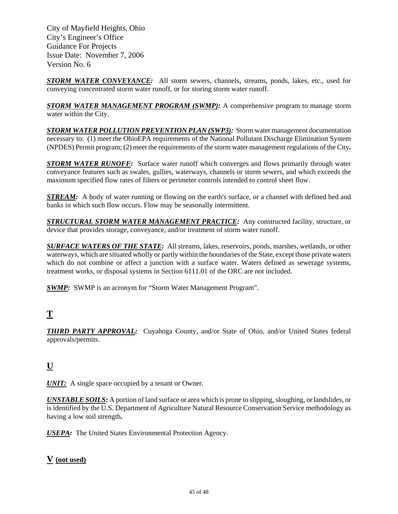*STORM WATER CONVEYANCE:* All storm sewers, channels, streams, ponds, lakes, etc., used for conveying concentrated storm water runoff, or for storing storm water runoff.

*STORM WATER MANAGEMENT PROGRAM (SWMP):* A comprehensive program to manage storm water within the City.

*STORM WATER POLLUTION PREVENTION PLAN (SWP3):* Storm water management documentation necessary to: (1) meet the OhioEPA requirements of the National Pollutant Discharge Elimination System (NPDES) Permit program; (2) meet the requirements of the storm water management regulations of the City**.** 

**STORM WATER RUNOFF:** Surface water runoff which converges and flows primarily through water conveyance features such as swales, gullies, waterways, channels or storm sewers, and which exceeds the maximum specified flow rates of filters or perimeter controls intended to control sheet flow.

*STREAM:* A body of water running or flowing on the earth's surface, or a channel with defined bed and banks in which such flow occurs. Flow may be seasonally intermittent.

*STRUCTURAL STORM WATER MANAGEMENT PRACTICE:* Any constructed facility, structure, or device that provides storage, conveyance, and/or treatment of storm water runoff.

*SURFACE WATERS OF THE STATE:* All streams, lakes, reservoirs, ponds, marshes, wetlands, or other waterways, which are situated wholly or partly within the boundaries of the State, except those private waters which do not combine or affect a junction with a surface water. Waters defined as sewerage systems, treatment works, or disposal systems in Section 6111.01 of the ORC are not included.

*SWMP*: SWMP is an acronym for "Storm Water Management Program".

## **T**

*THIRD PARTY APPROVAL:* Cuyahoga County, and/or State of Ohio, and/or United States federal approvals/permits.

## **U**

*UNIT:* A single space occupied by a tenant or Owner.

*UNSTABLE SOILS:* A portion of land surface or area which is prone to slipping, sloughing, or landslides, or is identified by the U.S. Department of Agriculture Natural Resource Conservation Service methodology as having a low soil strength**.** 

*USEPA:* The United States Environmental Protection Agency.

#### **V (not used)**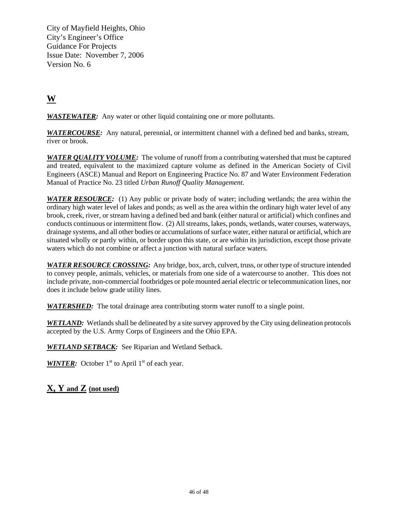## **W**

*WASTEWATER:* Any water or other liquid containing one or more pollutants.

*WATERCOURSE:* Any natural, perennial, or intermittent channel with a defined bed and banks, stream, river or brook.

*WATER QUALITY VOLUME:* The volume of runoff from a contributing watershed that must be captured and treated, equivalent to the maximized capture volume as defined in the American Society of Civil Engineers (ASCE) Manual and Report on Engineering Practice No. 87 and Water Environment Federation Manual of Practice No. 23 titled *Urban Runoff Quality Management.* 

*WATER RESOURCE:* (1) Any public or private body of water; including wetlands; the area within the ordinary high water level of lakes and ponds; as well as the area within the ordinary high water level of any brook, creek, river, or stream having a defined bed and bank (either natural or artificial) which confines and conducts continuous or intermittent flow. (2) All streams, lakes, ponds, wetlands, water courses, waterways, drainage systems, and all other bodies or accumulations of surface water, either natural or artificial, which are situated wholly or partly within, or border upon this state, or are within its jurisdiction, except those private waters which do not combine or affect a junction with natural surface waters.

*WATER RESOURCE CROSSING:* Any bridge, box, arch, culvert, truss, or other type of structure intended to convey people, animals, vehicles, or materials from one side of a watercourse to another. This does not include private, non-commercial footbridges or pole mounted aerial electric or telecommunication lines, nor does it include below grade utility lines.

*WATERSHED:* The total drainage area contributing storm water runoff to a single point.

*WETLAND:* Wetlands shall be delineated by a site survey approved by the City using delineation protocols accepted by the U.S. Army Corps of Engineers and the Ohio EPA.

*WETLAND SETBACK:* See Riparian and Wetland Setback.

*WINTER:* October 1<sup>st</sup> to April 1<sup>st</sup> of each year.

**X, Y and Z (not used)**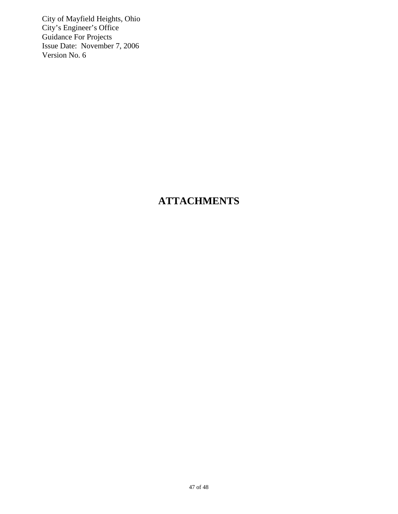## **ATTACHMENTS**